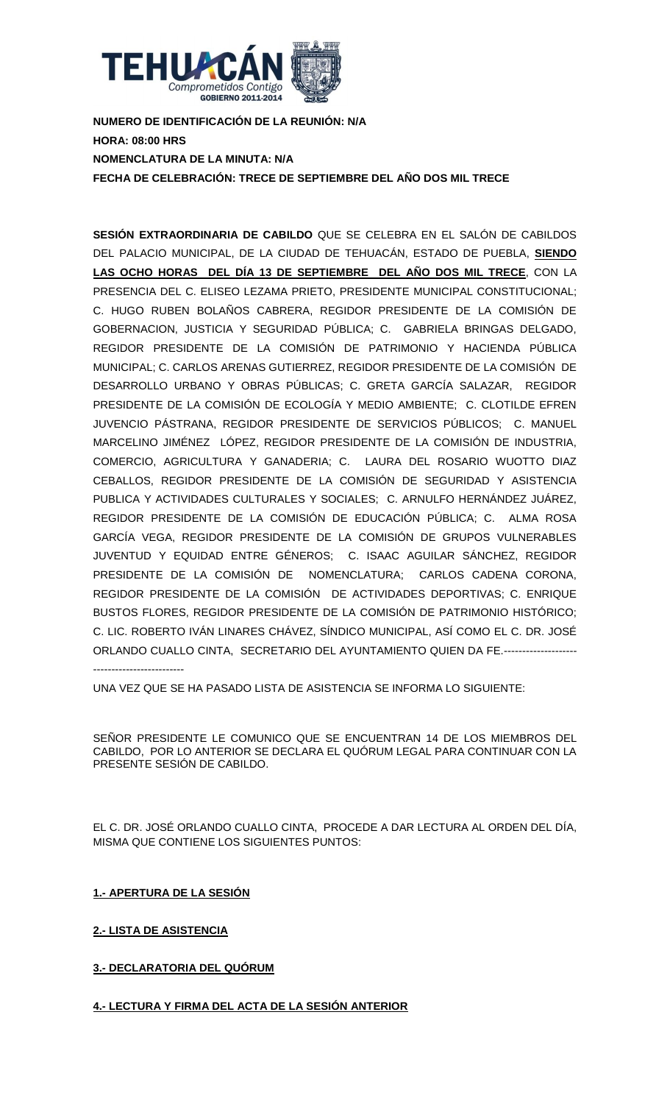

**NUMERO DE IDENTIFICACIÓN DE LA REUNIÓN: N/A HORA: 08:00 HRS NOMENCLATURA DE LA MINUTA: N/A FECHA DE CELEBRACIÓN: TRECE DE SEPTIEMBRE DEL AÑO DOS MIL TRECE**

**SESIÓN EXTRAORDINARIA DE CABILDO** QUE SE CELEBRA EN EL SALÓN DE CABILDOS DEL PALACIO MUNICIPAL, DE LA CIUDAD DE TEHUACÁN, ESTADO DE PUEBLA, **SIENDO LAS OCHO HORAS DEL DÍA 13 DE SEPTIEMBRE DEL AÑO DOS MIL TRECE**, CON LA PRESENCIA DEL C. ELISEO LEZAMA PRIETO, PRESIDENTE MUNICIPAL CONSTITUCIONAL; C. HUGO RUBEN BOLAÑOS CABRERA, REGIDOR PRESIDENTE DE LA COMISIÓN DE GOBERNACION, JUSTICIA Y SEGURIDAD PÚBLICA; C. GABRIELA BRINGAS DELGADO, REGIDOR PRESIDENTE DE LA COMISIÓN DE PATRIMONIO Y HACIENDA PÚBLICA MUNICIPAL; C. CARLOS ARENAS GUTIERREZ, REGIDOR PRESIDENTE DE LA COMISIÓN DE DESARROLLO URBANO Y OBRAS PÚBLICAS; C. GRETA GARCÍA SALAZAR, REGIDOR PRESIDENTE DE LA COMISIÓN DE ECOLOGÍA Y MEDIO AMBIENTE; C. CLOTILDE EFREN JUVENCIO PÁSTRANA, REGIDOR PRESIDENTE DE SERVICIOS PÚBLICOS; C. MANUEL MARCELINO JIMÉNEZ LÓPEZ, REGIDOR PRESIDENTE DE LA COMISIÓN DE INDUSTRIA, COMERCIO, AGRICULTURA Y GANADERIA; C. LAURA DEL ROSARIO WUOTTO DIAZ CEBALLOS, REGIDOR PRESIDENTE DE LA COMISIÓN DE SEGURIDAD Y ASISTENCIA PUBLICA Y ACTIVIDADES CULTURALES Y SOCIALES; C. ARNULFO HERNÁNDEZ JUÁREZ, REGIDOR PRESIDENTE DE LA COMISIÓN DE EDUCACIÓN PÚBLICA; C. ALMA ROSA GARCÍA VEGA, REGIDOR PRESIDENTE DE LA COMISIÓN DE GRUPOS VULNERABLES JUVENTUD Y EQUIDAD ENTRE GÉNEROS; C. ISAAC AGUILAR SÁNCHEZ, REGIDOR PRESIDENTE DE LA COMISIÓN DE NOMENCLATURA; CARLOS CADENA CORONA, REGIDOR PRESIDENTE DE LA COMISIÓN DE ACTIVIDADES DEPORTIVAS; C. ENRIQUE BUSTOS FLORES, REGIDOR PRESIDENTE DE LA COMISIÓN DE PATRIMONIO HISTÓRICO; C. LIC. ROBERTO IVÁN LINARES CHÁVEZ, SÍNDICO MUNICIPAL, ASÍ COMO EL C. DR. JOSÉ ORLANDO CUALLO CINTA, SECRETARIO DEL AYUNTAMIENTO QUIEN DA FE.-------------------- -------------------------

UNA VEZ QUE SE HA PASADO LISTA DE ASISTENCIA SE INFORMA LO SIGUIENTE:

SEÑOR PRESIDENTE LE COMUNICO QUE SE ENCUENTRAN 14 DE LOS MIEMBROS DEL CABILDO, POR LO ANTERIOR SE DECLARA EL QUÓRUM LEGAL PARA CONTINUAR CON LA PRESENTE SESIÓN DE CABILDO.

EL C. DR. JOSÉ ORLANDO CUALLO CINTA, PROCEDE A DAR LECTURA AL ORDEN DEL DÍA, MISMA QUE CONTIENE LOS SIGUIENTES PUNTOS:

# **1.- APERTURA DE LA SESIÓN**

# **2.- LISTA DE ASISTENCIA**

### **3.- DECLARATORIA DEL QUÓRUM**

### **4.- LECTURA Y FIRMA DEL ACTA DE LA SESIÓN ANTERIOR**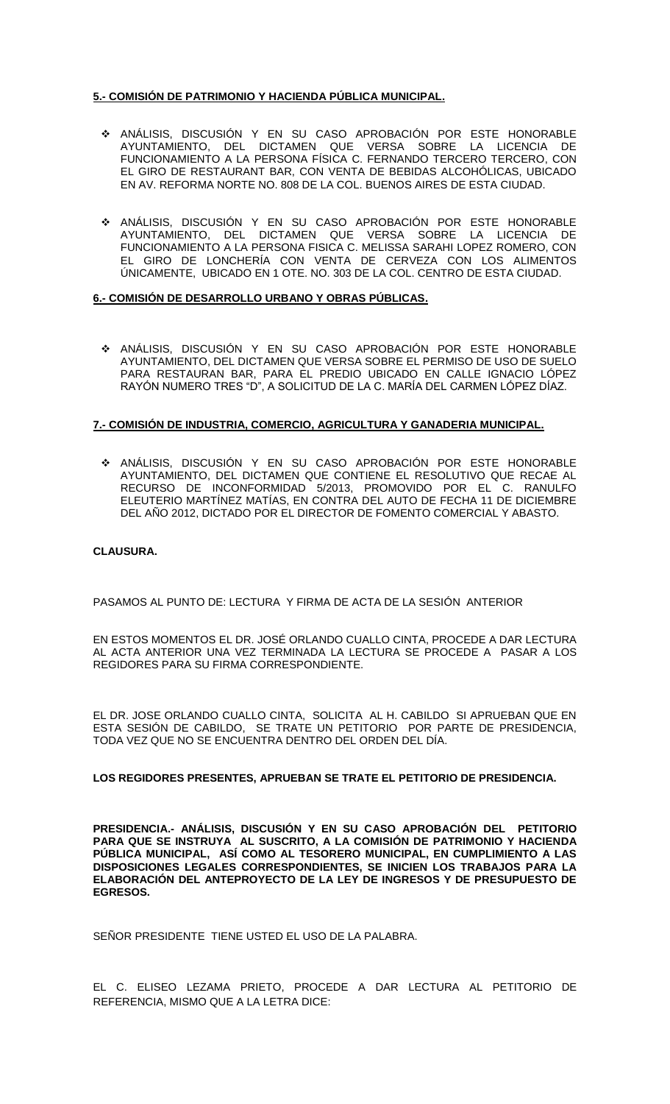## **5.- COMISIÓN DE PATRIMONIO Y HACIENDA PÚBLICA MUNICIPAL.**

- ANÁLISIS, DISCUSIÓN Y EN SU CASO APROBACIÓN POR ESTE HONORABLE AYUNTAMIENTO, DEL DICTAMEN QUE VERSA SOBRE LA LICENCIA DE FUNCIONAMIENTO A LA PERSONA FÍSICA C. FERNANDO TERCERO TERCERO, CON EL GIRO DE RESTAURANT BAR, CON VENTA DE BEBIDAS ALCOHÓLICAS, UBICADO EN AV. REFORMA NORTE NO. 808 DE LA COL. BUENOS AIRES DE ESTA CIUDAD.
- ANÁLISIS, DISCUSIÓN Y EN SU CASO APROBACIÓN POR ESTE HONORABLE AYUNTAMIENTO, DEL DICTAMEN QUE VERSA SOBRE LA LICENCIA DE FUNCIONAMIENTO A LA PERSONA FISICA C. MELISSA SARAHI LOPEZ ROMERO, CON EL GIRO DE LONCHERÍA CON VENTA DE CERVEZA CON LOS ALIMENTOS ÚNICAMENTE, UBICADO EN 1 OTE. NO. 303 DE LA COL. CENTRO DE ESTA CIUDAD.

### **6.- COMISIÓN DE DESARROLLO URBANO Y OBRAS PÚBLICAS.**

 ANÁLISIS, DISCUSIÓN Y EN SU CASO APROBACIÓN POR ESTE HONORABLE AYUNTAMIENTO, DEL DICTAMEN QUE VERSA SOBRE EL PERMISO DE USO DE SUELO PARA RESTAURAN BAR, PARA EL PREDIO UBICADO EN CALLE IGNACIO LÓPEZ RAYÓN NUMERO TRES "D", A SOLICITUD DE LA C. MARÍA DEL CARMEN LÓPEZ DÍAZ.

### **7.- COMISIÓN DE INDUSTRIA, COMERCIO, AGRICULTURA Y GANADERIA MUNICIPAL.**

 ANÁLISIS, DISCUSIÓN Y EN SU CASO APROBACIÓN POR ESTE HONORABLE AYUNTAMIENTO, DEL DICTAMEN QUE CONTIENE EL RESOLUTIVO QUE RECAE AL RECURSO DE INCONFORMIDAD 5/2013, PROMOVIDO POR EL C. RANULFO ELEUTERIO MARTÍNEZ MATÍAS, EN CONTRA DEL AUTO DE FECHA 11 DE DICIEMBRE DEL AÑO 2012, DICTADO POR EL DIRECTOR DE FOMENTO COMERCIAL Y ABASTO.

### **CLAUSURA.**

PASAMOS AL PUNTO DE: LECTURA Y FIRMA DE ACTA DE LA SESIÓN ANTERIOR

EN ESTOS MOMENTOS EL DR. JOSÉ ORLANDO CUALLO CINTA, PROCEDE A DAR LECTURA AL ACTA ANTERIOR UNA VEZ TERMINADA LA LECTURA SE PROCEDE A PASAR A LOS REGIDORES PARA SU FIRMA CORRESPONDIENTE.

EL DR. JOSE ORLANDO CUALLO CINTA, SOLICITA AL H. CABILDO SI APRUEBAN QUE EN ESTA SESIÓN DE CABILDO, SE TRATE UN PETITORIO POR PARTE DE PRESIDENCIA, TODA VEZ QUE NO SE ENCUENTRA DENTRO DEL ORDEN DEL DÍA.

### **LOS REGIDORES PRESENTES, APRUEBAN SE TRATE EL PETITORIO DE PRESIDENCIA.**

**PRESIDENCIA.- ANÁLISIS, DISCUSIÓN Y EN SU CASO APROBACIÓN DEL PETITORIO**  PARA QUE SE INSTRUYA AL SUSCRITO, A LA COMISIÓN DE PATRIMONIO Y HACIENDA **PÚBLICA MUNICIPAL, ASÍ COMO AL TESORERO MUNICIPAL, EN CUMPLIMIENTO A LAS DISPOSICIONES LEGALES CORRESPONDIENTES, SE INICIEN LOS TRABAJOS PARA LA ELABORACIÓN DEL ANTEPROYECTO DE LA LEY DE INGRESOS Y DE PRESUPUESTO DE EGRESOS.** 

SEÑOR PRESIDENTE TIENE USTED EL USO DE LA PALABRA.

EL C. ELISEO LEZAMA PRIETO, PROCEDE A DAR LECTURA AL PETITORIO DE REFERENCIA, MISMO QUE A LA LETRA DICE: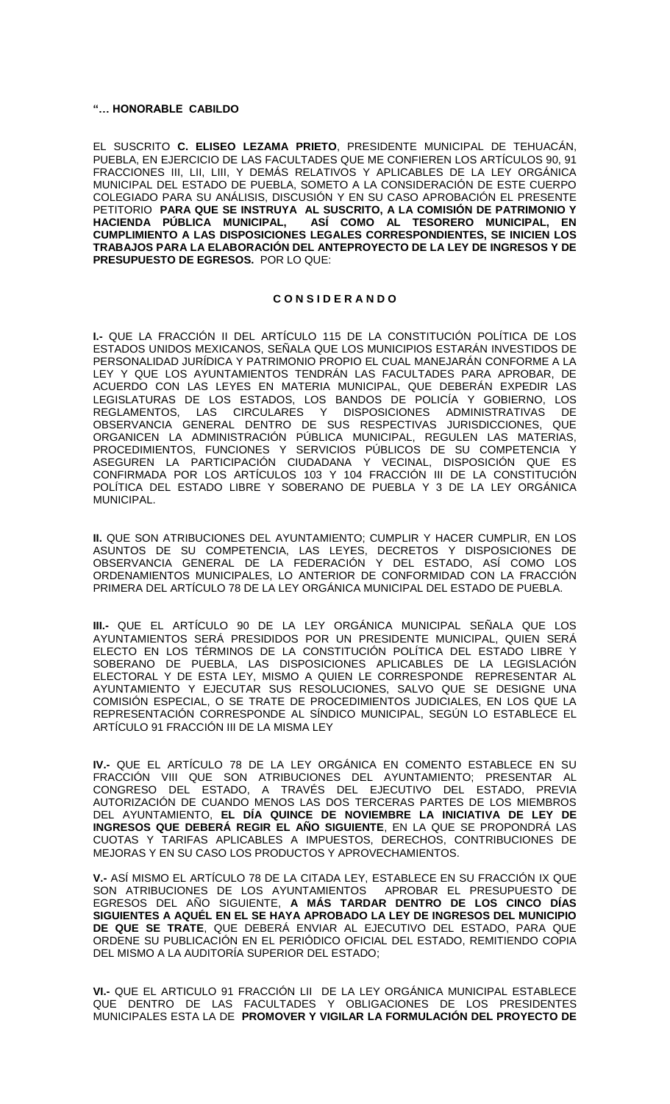#### **"… HONORABLE CABILDO**

EL SUSCRITO **C. ELISEO LEZAMA PRIETO**, PRESIDENTE MUNICIPAL DE TEHUACÁN, PUEBLA, EN EJERCICIO DE LAS FACULTADES QUE ME CONFIEREN LOS ARTÍCULOS 90, 91 FRACCIONES III, LII, LIII, Y DEMÁS RELATIVOS Y APLICABLES DE LA LEY ORGÁNICA MUNICIPAL DEL ESTADO DE PUEBLA, SOMETO A LA CONSIDERACIÓN DE ESTE CUERPO COLEGIADO PARA SU ANÁLISIS, DISCUSIÓN Y EN SU CASO APROBACIÓN EL PRESENTE PETITORIO **PARA QUE SE INSTRUYA AL SUSCRITO, A LA COMISIÓN DE PATRIMONIO Y HACIENDA PÚBLICA MUNICIPAL, ASÍ COMO AL TESORERO MUNICIPAL, EN CUMPLIMIENTO A LAS DISPOSICIONES LEGALES CORRESPONDIENTES, SE INICIEN LOS TRABAJOS PARA LA ELABORACIÓN DEL ANTEPROYECTO DE LA LEY DE INGRESOS Y DE PRESUPUESTO DE EGRESOS.** POR LO QUE:

#### **C O N S I D E R A N D O**

**I.-** QUE LA FRACCIÓN II DEL ARTÍCULO 115 DE LA CONSTITUCIÓN POLÍTICA DE LOS ESTADOS UNIDOS MEXICANOS, SEÑALA QUE LOS MUNICIPIOS ESTARÁN INVESTIDOS DE PERSONALIDAD JURÍDICA Y PATRIMONIO PROPIO EL CUAL MANEJARÁN CONFORME A LA LEY Y QUE LOS AYUNTAMIENTOS TENDRÁN LAS FACULTADES PARA APROBAR, DE ACUERDO CON LAS LEYES EN MATERIA MUNICIPAL, QUE DEBERÁN EXPEDIR LAS LEGISLATURAS DE LOS ESTADOS, LOS BANDOS DE POLICÍA Y GOBIERNO, LOS REGLAMENTOS, LAS CIRCULARES Y DISPOSICIONES ADMINISTRATIVAS DE OBSERVANCIA GENERAL DENTRO DE SUS RESPECTIVAS JURISDICCIONES, QUE ORGANICEN LA ADMINISTRACIÓN PÚBLICA MUNICIPAL, REGULEN LAS MATERIAS, PROCEDIMIENTOS, FUNCIONES Y SERVICIOS PÚBLICOS DE SU COMPETENCIA Y ASEGUREN LA PARTICIPACIÓN CIUDADANA Y VECINAL, DISPOSICIÓN QUE ES CONFIRMADA POR LOS ARTÍCULOS 103 Y 104 FRACCIÓN III DE LA CONSTITUCIÓN POLÍTICA DEL ESTADO LIBRE Y SOBERANO DE PUEBLA Y 3 DE LA LEY ORGÁNICA MUNICIPAL.

**II.** QUE SON ATRIBUCIONES DEL AYUNTAMIENTO; CUMPLIR Y HACER CUMPLIR, EN LOS ASUNTOS DE SU COMPETENCIA, LAS LEYES, DECRETOS Y DISPOSICIONES DE OBSERVANCIA GENERAL DE LA FEDERACIÓN Y DEL ESTADO, ASÍ COMO LOS ORDENAMIENTOS MUNICIPALES, LO ANTERIOR DE CONFORMIDAD CON LA FRACCIÓN PRIMERA DEL ARTÍCULO 78 DE LA LEY ORGÁNICA MUNICIPAL DEL ESTADO DE PUEBLA.

**III.-** QUE EL ARTÍCULO 90 DE LA LEY ORGÁNICA MUNICIPAL SEÑALA QUE LOS AYUNTAMIENTOS SERÁ PRESIDIDOS POR UN PRESIDENTE MUNICIPAL, QUIEN SERÁ ELECTO EN LOS TÉRMINOS DE LA CONSTITUCIÓN POLÍTICA DEL ESTADO LIBRE Y SOBERANO DE PUEBLA, LAS DISPOSICIONES APLICABLES DE LA LEGISLACIÓN ELECTORAL Y DE ESTA LEY, MISMO A QUIEN LE CORRESPONDE REPRESENTAR AL AYUNTAMIENTO Y EJECUTAR SUS RESOLUCIONES, SALVO QUE SE DESIGNE UNA COMISIÓN ESPECIAL, O SE TRATE DE PROCEDIMIENTOS JUDICIALES, EN LOS QUE LA REPRESENTACIÓN CORRESPONDE AL SÍNDICO MUNICIPAL, SEGÚN LO ESTABLECE EL ARTÍCULO 91 FRACCIÓN III DE LA MISMA LEY

**IV.-** QUE EL ARTÍCULO 78 DE LA LEY ORGÁNICA EN COMENTO ESTABLECE EN SU FRACCIÓN VIII QUE SON ATRIBUCIONES DEL AYUNTAMIENTO; PRESENTAR AL CONGRESO DEL ESTADO, A TRAVÉS DEL EJECUTIVO DEL ESTADO, PREVIA AUTORIZACIÓN DE CUANDO MENOS LAS DOS TERCERAS PARTES DE LOS MIEMBROS DEL AYUNTAMIENTO, **EL DÍA QUINCE DE NOVIEMBRE LA INICIATIVA DE LEY DE INGRESOS QUE DEBERÁ REGIR EL AÑO SIGUIENTE**, EN LA QUE SE PROPONDRÁ LAS CUOTAS Y TARIFAS APLICABLES A IMPUESTOS, DERECHOS, CONTRIBUCIONES DE MEJORAS Y EN SU CASO LOS PRODUCTOS Y APROVECHAMIENTOS.

**V.-** ASÍ MISMO EL ARTÍCULO 78 DE LA CITADA LEY, ESTABLECE EN SU FRACCIÓN IX QUE SON ATRIBUCIONES DE LOS AYUNTAMIENTOS APROBAR EL PRESUPUESTO DE EGRESOS DEL AÑO SIGUIENTE, **A MÁS TARDAR DENTRO DE LOS CINCO DÍAS SIGUIENTES A AQUÉL EN EL SE HAYA APROBADO LA LEY DE INGRESOS DEL MUNICIPIO DE QUE SE TRATE**, QUE DEBERÁ ENVIAR AL EJECUTIVO DEL ESTADO, PARA QUE ORDENE SU PUBLICACIÓN EN EL PERIÓDICO OFICIAL DEL ESTADO, REMITIENDO COPIA DEL MISMO A LA AUDITORÍA SUPERIOR DEL ESTADO;

**VI.-** QUE EL ARTICULO 91 FRACCIÓN LII DE LA LEY ORGÁNICA MUNICIPAL ESTABLECE QUE DENTRO DE LAS FACULTADES Y OBLIGACIONES DE LOS PRESIDENTES MUNICIPALES ESTA LA DE **PROMOVER Y VIGILAR LA FORMULACIÓN DEL PROYECTO DE**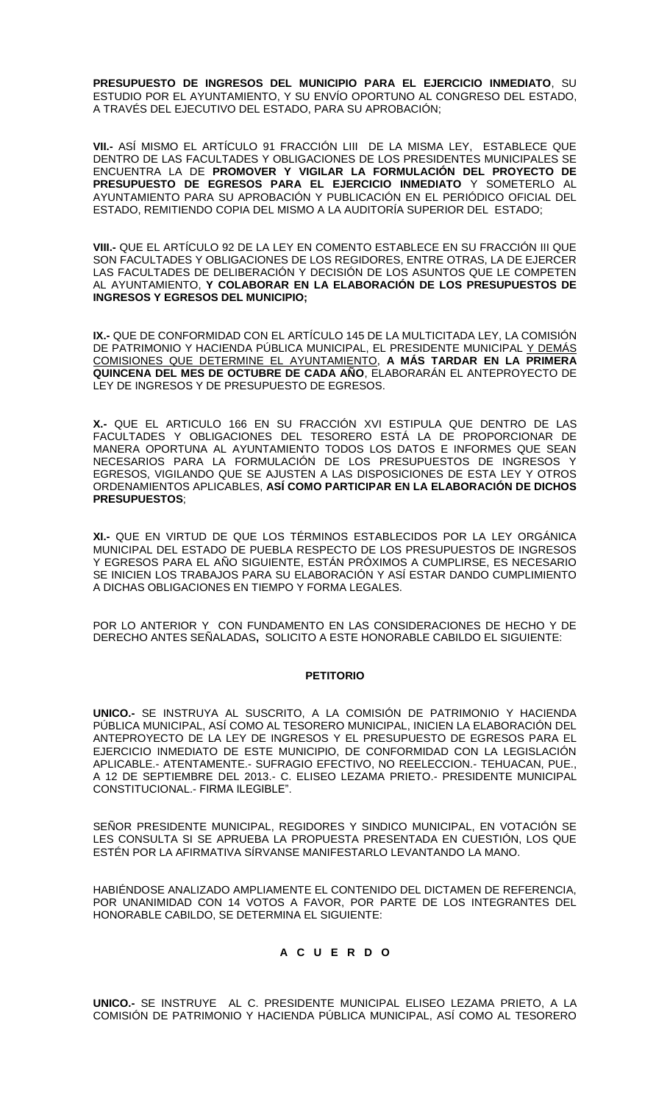**PRESUPUESTO DE INGRESOS DEL MUNICIPIO PARA EL EJERCICIO INMEDIATO**, SU ESTUDIO POR EL AYUNTAMIENTO, Y SU ENVÍO OPORTUNO AL CONGRESO DEL ESTADO, A TRAVÉS DEL EJECUTIVO DEL ESTADO, PARA SU APROBACIÓN;

**VII.-** ASÍ MISMO EL ARTÍCULO 91 FRACCIÓN LIII DE LA MISMA LEY, ESTABLECE QUE DENTRO DE LAS FACULTADES Y OBLIGACIONES DE LOS PRESIDENTES MUNICIPALES SE ENCUENTRA LA DE **PROMOVER Y VIGILAR LA FORMULACIÓN DEL PROYECTO DE PRESUPUESTO DE EGRESOS PARA EL EJERCICIO INMEDIATO** Y SOMETERLO AL AYUNTAMIENTO PARA SU APROBACIÓN Y PUBLICACIÓN EN EL PERIÓDICO OFICIAL DEL ESTADO, REMITIENDO COPIA DEL MISMO A LA AUDITORÍA SUPERIOR DEL ESTADO;

**VIII.-** QUE EL ARTÍCULO 92 DE LA LEY EN COMENTO ESTABLECE EN SU FRACCIÓN III QUE SON FACULTADES Y OBLIGACIONES DE LOS REGIDORES, ENTRE OTRAS, LA DE EJERCER LAS FACULTADES DE DELIBERACIÓN Y DECISIÓN DE LOS ASUNTOS QUE LE COMPETEN AL AYUNTAMIENTO, **Y COLABORAR EN LA ELABORACIÓN DE LOS PRESUPUESTOS DE INGRESOS Y EGRESOS DEL MUNICIPIO;**

**IX.-** QUE DE CONFORMIDAD CON EL ARTÍCULO 145 DE LA MULTICITADA LEY, LA COMISIÓN DE PATRIMONIO Y HACIENDA PÚBLICA MUNICIPAL, EL PRESIDENTE MUNICIPAL Y DEMÁS COMISIONES QUE DETERMINE EL AYUNTAMIENTO, **A MÁS TARDAR EN LA PRIMERA QUINCENA DEL MES DE OCTUBRE DE CADA AÑO**, ELABORARÁN EL ANTEPROYECTO DE LEY DE INGRESOS Y DE PRESUPUESTO DE EGRESOS.

**X.-** QUE EL ARTICULO 166 EN SU FRACCIÓN XVI ESTIPULA QUE DENTRO DE LAS FACULTADES Y OBLIGACIONES DEL TESORERO ESTÁ LA DE PROPORCIONAR DE MANERA OPORTUNA AL AYUNTAMIENTO TODOS LOS DATOS E INFORMES QUE SEAN NECESARIOS PARA LA FORMULACIÓN DE LOS PRESUPUESTOS DE INGRESOS Y EGRESOS, VIGILANDO QUE SE AJUSTEN A LAS DISPOSICIONES DE ESTA LEY Y OTROS ORDENAMIENTOS APLICABLES, **ASÍ COMO PARTICIPAR EN LA ELABORACIÓN DE DICHOS PRESUPUESTOS**;

**XI.-** QUE EN VIRTUD DE QUE LOS TÉRMINOS ESTABLECIDOS POR LA LEY ORGÁNICA MUNICIPAL DEL ESTADO DE PUEBLA RESPECTO DE LOS PRESUPUESTOS DE INGRESOS Y EGRESOS PARA EL AÑO SIGUIENTE, ESTÁN PRÓXIMOS A CUMPLIRSE, ES NECESARIO SE INICIEN LOS TRABAJOS PARA SU ELABORACIÓN Y ASÍ ESTAR DANDO CUMPLIMIENTO A DICHAS OBLIGACIONES EN TIEMPO Y FORMA LEGALES.

POR LO ANTERIOR Y CON FUNDAMENTO EN LAS CONSIDERACIONES DE HECHO Y DE DERECHO ANTES SEÑALADAS**,** SOLICITO A ESTE HONORABLE CABILDO EL SIGUIENTE:

### **PETITORIO**

**UNICO.-** SE INSTRUYA AL SUSCRITO, A LA COMISIÓN DE PATRIMONIO Y HACIENDA PÚBLICA MUNICIPAL, ASÍ COMO AL TESORERO MUNICIPAL, INICIEN LA ELABORACIÓN DEL ANTEPROYECTO DE LA LEY DE INGRESOS Y EL PRESUPUESTO DE EGRESOS PARA EL EJERCICIO INMEDIATO DE ESTE MUNICIPIO, DE CONFORMIDAD CON LA LEGISLACIÓN APLICABLE.- ATENTAMENTE.- SUFRAGIO EFECTIVO, NO REELECCION.- TEHUACAN, PUE., A 12 DE SEPTIEMBRE DEL 2013.- C. ELISEO LEZAMA PRIETO.- PRESIDENTE MUNICIPAL CONSTITUCIONAL.- FIRMA ILEGIBLE".

SEÑOR PRESIDENTE MUNICIPAL, REGIDORES Y SINDICO MUNICIPAL, EN VOTACIÓN SE LES CONSULTA SI SE APRUEBA LA PROPUESTA PRESENTADA EN CUESTIÓN, LOS QUE ESTÉN POR LA AFIRMATIVA SÍRVANSE MANIFESTARLO LEVANTANDO LA MANO.

HABIÉNDOSE ANALIZADO AMPLIAMENTE EL CONTENIDO DEL DICTAMEN DE REFERENCIA, POR UNANIMIDAD CON 14 VOTOS A FAVOR, POR PARTE DE LOS INTEGRANTES DEL HONORABLE CABILDO, SE DETERMINA EL SIGUIENTE:

### **A C U E R D O**

**UNICO.-** SE INSTRUYE AL C. PRESIDENTE MUNICIPAL ELISEO LEZAMA PRIETO, A LA COMISIÓN DE PATRIMONIO Y HACIENDA PÚBLICA MUNICIPAL, ASÍ COMO AL TESORERO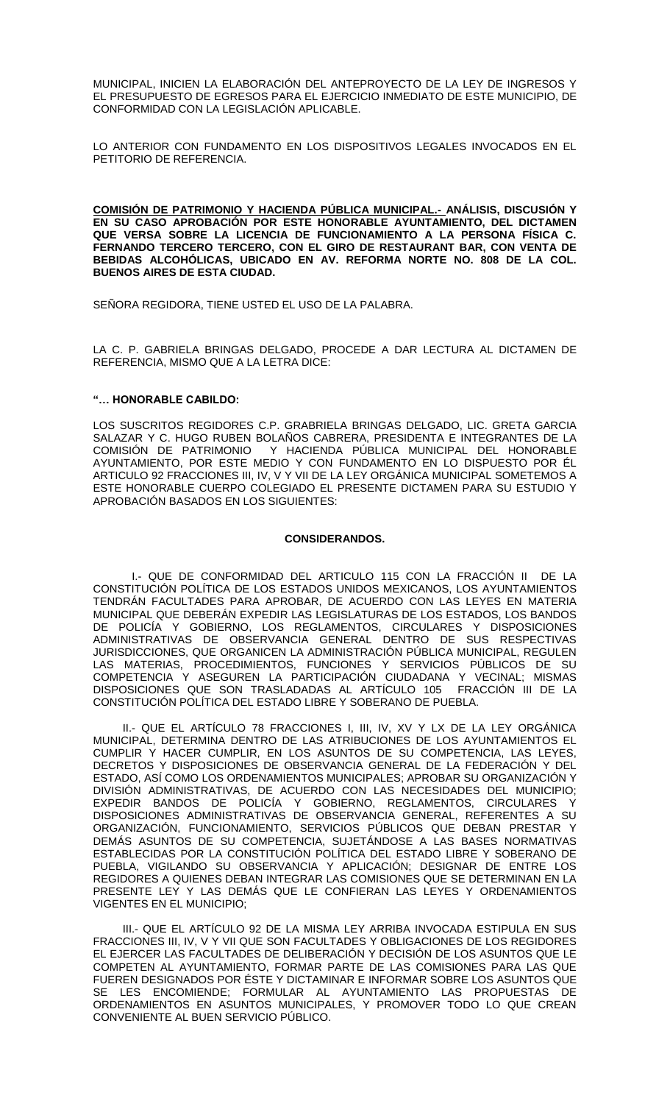MUNICIPAL, INICIEN LA ELABORACIÓN DEL ANTEPROYECTO DE LA LEY DE INGRESOS Y EL PRESUPUESTO DE EGRESOS PARA EL EJERCICIO INMEDIATO DE ESTE MUNICIPIO, DE CONFORMIDAD CON LA LEGISLACIÓN APLICABLE.

LO ANTERIOR CON FUNDAMENTO EN LOS DISPOSITIVOS LEGALES INVOCADOS EN EL PETITORIO DE REFERENCIA.

**COMISIÓN DE PATRIMONIO Y HACIENDA PÚBLICA MUNICIPAL.- ANÁLISIS, DISCUSIÓN Y EN SU CASO APROBACIÓN POR ESTE HONORABLE AYUNTAMIENTO, DEL DICTAMEN QUE VERSA SOBRE LA LICENCIA DE FUNCIONAMIENTO A LA PERSONA FÍSICA C. FERNANDO TERCERO TERCERO, CON EL GIRO DE RESTAURANT BAR, CON VENTA DE BEBIDAS ALCOHÓLICAS, UBICADO EN AV. REFORMA NORTE NO. 808 DE LA COL. BUENOS AIRES DE ESTA CIUDAD.**

SEÑORA REGIDORA, TIENE USTED EL USO DE LA PALABRA.

LA C. P. GABRIELA BRINGAS DELGADO, PROCEDE A DAR LECTURA AL DICTAMEN DE REFERENCIA, MISMO QUE A LA LETRA DICE:

### **"… HONORABLE CABILDO:**

LOS SUSCRITOS REGIDORES C.P. GRABRIELA BRINGAS DELGADO, LIC. GRETA GARCIA SALAZAR Y C. HUGO RUBEN BOLAÑOS CABRERA, PRESIDENTA E INTEGRANTES DE LA COMISIÓN DE PATRIMONIO Y HACIENDA PÚBLICA MUNICIPAL DEL HONORABLE Y HACIENDA PÚBLICA MUNICIPAL DEL HONORABLE AYUNTAMIENTO, POR ESTE MEDIO Y CON FUNDAMENTO EN LO DISPUESTO POR ÉL ARTICULO 92 FRACCIONES III, IV, V Y VII DE LA LEY ORGÁNICA MUNICIPAL SOMETEMOS A ESTE HONORABLE CUERPO COLEGIADO EL PRESENTE DICTAMEN PARA SU ESTUDIO Y APROBACIÓN BASADOS EN LOS SIGUIENTES:

### **CONSIDERANDOS.**

I.- QUE DE CONFORMIDAD DEL ARTICULO 115 CON LA FRACCIÓN II DE LA CONSTITUCIÓN POLÍTICA DE LOS ESTADOS UNIDOS MEXICANOS, LOS AYUNTAMIENTOS TENDRÁN FACULTADES PARA APROBAR, DE ACUERDO CON LAS LEYES EN MATERIA MUNICIPAL QUE DEBERÁN EXPEDIR LAS LEGISLATURAS DE LOS ESTADOS, LOS BANDOS DE POLICÍA Y GOBIERNO, LOS REGLAMENTOS, CIRCULARES Y DISPOSICIONES ADMINISTRATIVAS DE OBSERVANCIA GENERAL DENTRO DE SUS RESPECTIVAS JURISDICCIONES, QUE ORGANICEN LA ADMINISTRACIÓN PÚBLICA MUNICIPAL, REGULEN LAS MATERIAS, PROCEDIMIENTOS, FUNCIONES Y SERVICIOS PÚBLICOS DE SU COMPETENCIA Y ASEGUREN LA PARTICIPACIÓN CIUDADANA Y VECINAL; MISMAS DISPOSICIONES QUE SON TRASLADADAS AL ARTÍCULO 105 FRACCIÓN III DE LA CONSTITUCIÓN POLÍTICA DEL ESTADO LIBRE Y SOBERANO DE PUEBLA.

II.- QUE EL ARTÍCULO 78 FRACCIONES I, III, IV, XV Y LX DE LA LEY ORGÁNICA MUNICIPAL, DETERMINA DENTRO DE LAS ATRIBUCIONES DE LOS AYUNTAMIENTOS EL CUMPLIR Y HACER CUMPLIR, EN LOS ASUNTOS DE SU COMPETENCIA, LAS LEYES, DECRETOS Y DISPOSICIONES DE OBSERVANCIA GENERAL DE LA FEDERACIÓN Y DEL ESTADO, ASÍ COMO LOS ORDENAMIENTOS MUNICIPALES; APROBAR SU ORGANIZACIÓN Y DIVISIÓN ADMINISTRATIVAS, DE ACUERDO CON LAS NECESIDADES DEL MUNICIPIO; EXPEDIR BANDOS DE POLICÍA Y GOBIERNO, REGLAMENTOS, CIRCULARES Y DISPOSICIONES ADMINISTRATIVAS DE OBSERVANCIA GENERAL, REFERENTES A SU ORGANIZACIÓN, FUNCIONAMIENTO, SERVICIOS PÚBLICOS QUE DEBAN PRESTAR Y DEMÁS ASUNTOS DE SU COMPETENCIA, SUJETÁNDOSE A LAS BASES NORMATIVAS ESTABLECIDAS POR LA CONSTITUCIÓN POLÍTICA DEL ESTADO LIBRE Y SOBERANO DE PUEBLA, VIGILANDO SU OBSERVANCIA Y APLICACIÓN; DESIGNAR DE ENTRE LOS REGIDORES A QUIENES DEBAN INTEGRAR LAS COMISIONES QUE SE DETERMINAN EN LA PRESENTE LEY Y LAS DEMÁS QUE LE CONFIERAN LAS LEYES Y ORDENAMIENTOS VIGENTES EN EL MUNICIPIO;

III.- QUE EL ARTÍCULO 92 DE LA MISMA LEY ARRIBA INVOCADA ESTIPULA EN SUS FRACCIONES III, IV, V Y VII QUE SON FACULTADES Y OBLIGACIONES DE LOS REGIDORES EL EJERCER LAS FACULTADES DE DELIBERACIÓN Y DECISIÓN DE LOS ASUNTOS QUE LE COMPETEN AL AYUNTAMIENTO, FORMAR PARTE DE LAS COMISIONES PARA LAS QUE FUEREN DESIGNADOS POR ÉSTE Y DICTAMINAR E INFORMAR SOBRE LOS ASUNTOS QUE SE LES ENCOMIENDE; FORMULAR AL AYUNTAMIENTO LAS PROPUESTAS DE ORDENAMIENTOS EN ASUNTOS MUNICIPALES, Y PROMOVER TODO LO QUE CREAN CONVENIENTE AL BUEN SERVICIO PÚBLICO.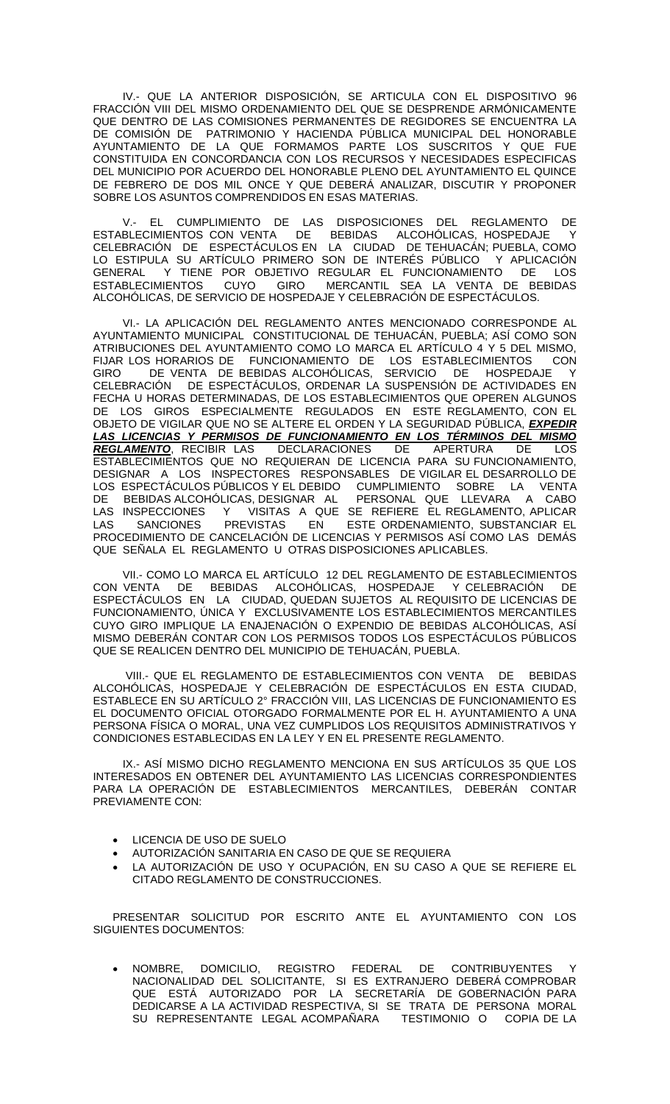IV.- QUE LA ANTERIOR DISPOSICIÓN, SE ARTICULA CON EL DISPOSITIVO 96 FRACCIÓN VIII DEL MISMO ORDENAMIENTO DEL QUE SE DESPRENDE ARMÓNICAMENTE QUE DENTRO DE LAS COMISIONES PERMANENTES DE REGIDORES SE ENCUENTRA LA DE COMISIÓN DE PATRIMONIO Y HACIENDA PÚBLICA MUNICIPAL DEL HONORABLE AYUNTAMIENTO DE LA QUE FORMAMOS PARTE LOS SUSCRITOS Y QUE FUE CONSTITUIDA EN CONCORDANCIA CON LOS RECURSOS Y NECESIDADES ESPECIFICAS DEL MUNICIPIO POR ACUERDO DEL HONORABLE PLENO DEL AYUNTAMIENTO EL QUINCE DE FEBRERO DE DOS MIL ONCE Y QUE DEBERÁ ANALIZAR, DISCUTIR Y PROPONER SOBRE LOS ASUNTOS COMPRENDIDOS EN ESAS MATERIAS.

V.- EL CUMPLIMIENTO DE LAS DISPOSICIONES DEL REGLAMENTO DE ESTABLECIMIENTOS CON VENTA DE BEBIDAS ALCOHÓLICAS, HOSPEDAJE Y CELEBRACIÓN DE ESPECTÁCULOS EN LA CIUDAD DE TEHUACÁN; PUEBLA, COMO LO ESTIPULA SU ARTÍCULO PRIMERO SON DE INTERÉS PÚBLICO Y APLICACIÓN GENERAL Y TIENE POR OBJETIVO REGULAR EL FUNCIONAMIENTO DE LOS ESTABLECIMIENTOS CUYO GIRO MERCANTIL SEA LA VENTA DE BEBIDAS ALCOHÓLICAS, DE SERVICIO DE HOSPEDAJE Y CELEBRACIÓN DE ESPECTÁCULOS.

VI.- LA APLICACIÓN DEL REGLAMENTO ANTES MENCIONADO CORRESPONDE AL AYUNTAMIENTO MUNICIPAL CONSTITUCIONAL DE TEHUACÁN, PUEBLA; ASÍ COMO SON ATRIBUCIONES DEL AYUNTAMIENTO COMO LO MARCA EL ARTÍCULO 4 Y 5 DEL MISMO,<br>FLIAR LOS HORARIOS DE FLINCIONAMIENTO DE LOS ESTABLECIMIENTOS CON FIJAR LOS HORARIOS DE FUNCIONAMIENTO DE LOS ESTABLECIMIENTOS CON GIRO DE VENTA DE BEBIDAS ALCOHÓLICAS, SERVICIO DE HOSPEDAJE Y CELEBRACIÓN DE ESPECTÁCULOS, ORDENAR LA SUSPENSIÓN DE ACTIVIDADES EN FECHA U HORAS DETERMINADAS, DE LOS ESTABLECIMIENTOS QUE OPEREN ALGUNOS DE LOS GIROS ESPECIALMENTE REGULADOS EN ESTE REGLAMENTO, CON EL OBJETO DE VIGILAR QUE NO SE ALTERE EL ORDEN Y LA SEGURIDAD PÚBLICA, *EXPEDIR LAS LICENCIAS Y PERMISOS DE FUNCIONAMIENTO EN LOS TÉRMINOS DEL MISMO REGLAMENTO*, RECIBIR LAS DECLARACIONES DE APERTURA DE LOS ESTABLECIMIENTOS QUE NO REQUIERAN DE LICENCIA PARA SU FUNCIONAMIENTO, DESIGNAR A LOS INSPECTORES RESPONSABLES DE VIGILAR EL DESARROLLO DE LOS ESPECTÁCULOS PÚBLICOS Y EL DEBIDO CUMPLIMIENTO SOBRE LA VENTA DE BEBIDAS ALCOHÓLICAS, DESIGNAR AL PERSONAL QUE LLEVARA A CABO LAS INSPECCIONES Y VISITAS A QUE SE REFIERE EL REGLAMENTO, APLICAR LAS SANCIONES PREVISTAS EN ESTE ORDENAMIENTO, SUBSTANCIAR EL PROCEDIMIENTO DE CANCELACIÓN DE LICENCIAS Y PERMISOS ASÍ COMO LAS DEMÁS QUE SEÑALA EL REGLAMENTO U OTRAS DISPOSICIONES APLICABLES.

VII.- COMO LO MARCA EL ARTÍCULO 12 DEL REGLAMENTO DE ESTABLECIMIENTOS CON VENTA DE BEBIDAS ALCOHÓLICAS, HOSPEDAJE Y CELEBRACIÓN DE ESPECTÁCULOS EN LA CIUDAD, QUEDAN SUJETOS AL REQUISITO DE LICENCIAS DE FUNCIONAMIENTO, ÚNICA Y EXCLUSIVAMENTE LOS ESTABLECIMIENTOS MERCANTILES CUYO GIRO IMPLIQUE LA ENAJENACIÓN O EXPENDIO DE BEBIDAS ALCOHÓLICAS, ASÍ MISMO DEBERÁN CONTAR CON LOS PERMISOS TODOS LOS ESPECTÁCULOS PÚBLICOS QUE SE REALICEN DENTRO DEL MUNICIPIO DE TEHUACÁN, PUEBLA.

VIII.- QUE EL REGLAMENTO DE ESTABLECIMIENTOS CON VENTA DE BEBIDAS ALCOHÓLICAS, HOSPEDAJE Y CELEBRACIÓN DE ESPECTÁCULOS EN ESTA CIUDAD, ESTABLECE EN SU ARTÍCULO 2° FRACCIÓN VIII, LAS LICENCIAS DE FUNCIONAMIENTO ES EL DOCUMENTO OFICIAL OTORGADO FORMALMENTE POR EL H. AYUNTAMIENTO A UNA PERSONA FÍSICA O MORAL, UNA VEZ CUMPLIDOS LOS REQUISITOS ADMINISTRATIVOS Y CONDICIONES ESTABLECIDAS EN LA LEY Y EN EL PRESENTE REGLAMENTO.

IX.- ASÍ MISMO DICHO REGLAMENTO MENCIONA EN SUS ARTÍCULOS 35 QUE LOS INTERESADOS EN OBTENER DEL AYUNTAMIENTO LAS LICENCIAS CORRESPONDIENTES PARA LA OPERACIÓN DE ESTABLECIMIENTOS MERCANTILES, DEBERÁN CONTAR PREVIAMENTE CON:

- LICENCIA DE USO DE SUELO
- AUTORIZACIÓN SANITARIA EN CASO DE QUE SE REQUIERA
- LA AUTORIZACIÓN DE USO Y OCUPACIÓN, EN SU CASO A QUE SE REFIERE EL CITADO REGLAMENTO DE CONSTRUCCIONES.

PRESENTAR SOLICITUD POR ESCRITO ANTE EL AYUNTAMIENTO CON LOS SIGUIENTES DOCUMENTOS:

 NOMBRE, DOMICILIO, REGISTRO FEDERAL DE CONTRIBUYENTES Y NACIONALIDAD DEL SOLICITANTE, SI ES EXTRANJERO DEBERÁ COMPROBAR QUE ESTÁ AUTORIZADO POR LA SECRETARÍA DE GOBERNACIÓN PARA DEDICARSE A LA ACTIVIDAD RESPECTIVA, SI SE TRATA DE PERSONA MORAL SU REPRESENTANTE LEGAL ACOMPAÑARA TESTIMONIO O COPIA DE LA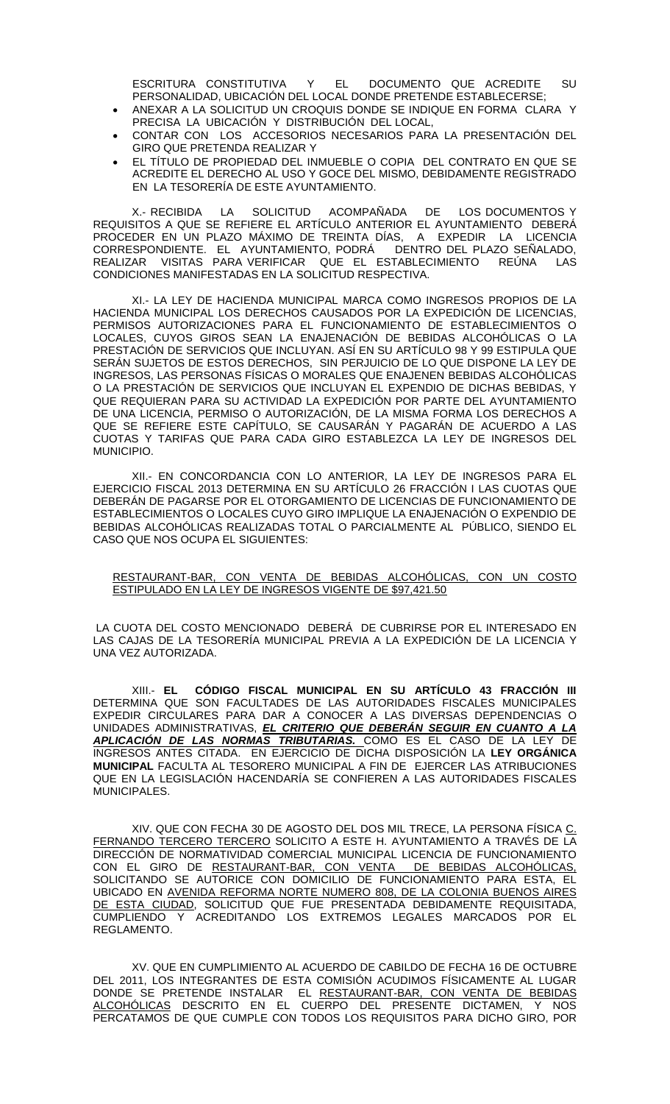ESCRITURA CONSTITUTIVA Y EL DOCUMENTO QUE ACREDITE SU PERSONALIDAD, UBICACIÓN DEL LOCAL DONDE PRETENDE ESTABLECERSE;

- ANEXAR A LA SOLICITUD UN CROQUIS DONDE SE INDIQUE EN FORMA CLARA Y PRECISA LA UBICACIÓN Y DISTRIBUCIÓN DEL LOCAL,
- CONTAR CON LOS ACCESORIOS NECESARIOS PARA LA PRESENTACIÓN DEL GIRO QUE PRETENDA REALIZAR Y
- EL TÍTULO DE PROPIEDAD DEL INMUEBLE O COPIA DEL CONTRATO EN QUE SE ACREDITE EL DERECHO AL USO Y GOCE DEL MISMO, DEBIDAMENTE REGISTRADO EN LA TESORERÍA DE ESTE AYUNTAMIENTO.

X.- RECIBIDA LA SOLICITUD ACOMPAÑADA DE LOS DOCUMENTOS Y REQUISITOS A QUE SE REFIERE EL ARTÍCULO ANTERIOR EL AYUNTAMIENTO DEBERÁ PROCEDER EN UN PLAZO MÁXIMO DE TREINTA DÍAS, A EXPEDIR LA LICENCIA CORRESPONDIENTE. EL AYUNTAMIENTO, PODRÁ DENTRO DEL PLAZO SEÑALADO, REALIZAR VISITAS PARA VERIFICAR QUE EL ESTABLECIMIENTO REÚNA CONDICIONES MANIFESTADAS EN LA SOLICITUD RESPECTIVA.

XI.- LA LEY DE HACIENDA MUNICIPAL MARCA COMO INGRESOS PROPIOS DE LA HACIENDA MUNICIPAL LOS DERECHOS CAUSADOS POR LA EXPEDICIÓN DE LICENCIAS, PERMISOS AUTORIZACIONES PARA EL FUNCIONAMIENTO DE ESTABLECIMIENTOS O LOCALES, CUYOS GIROS SEAN LA ENAJENACIÓN DE BEBIDAS ALCOHÓLICAS O LA PRESTACIÓN DE SERVICIOS QUE INCLUYAN. ASÍ EN SU ARTÍCULO 98 Y 99 ESTIPULA QUE SERÁN SUJETOS DE ESTOS DERECHOS, SIN PERJUICIO DE LO QUE DISPONE LA LEY DE INGRESOS, LAS PERSONAS FÍSICAS O MORALES QUE ENAJENEN BEBIDAS ALCOHÓLICAS O LA PRESTACIÓN DE SERVICIOS QUE INCLUYAN EL EXPENDIO DE DICHAS BEBIDAS, Y QUE REQUIERAN PARA SU ACTIVIDAD LA EXPEDICIÓN POR PARTE DEL AYUNTAMIENTO DE UNA LICENCIA, PERMISO O AUTORIZACIÓN, DE LA MISMA FORMA LOS DERECHOS A QUE SE REFIERE ESTE CAPÍTULO, SE CAUSARÁN Y PAGARÁN DE ACUERDO A LAS CUOTAS Y TARIFAS QUE PARA CADA GIRO ESTABLEZCA LA LEY DE INGRESOS DEL MUNICIPIO.

XII.- EN CONCORDANCIA CON LO ANTERIOR, LA LEY DE INGRESOS PARA EL EJERCICIO FISCAL 2013 DETERMINA EN SU ARTÍCULO 26 FRACCIÓN I LAS CUOTAS QUE DEBERÁN DE PAGARSE POR EL OTORGAMIENTO DE LICENCIAS DE FUNCIONAMIENTO DE ESTABLECIMIENTOS O LOCALES CUYO GIRO IMPLIQUE LA ENAJENACIÓN O EXPENDIO DE BEBIDAS ALCOHÓLICAS REALIZADAS TOTAL O PARCIALMENTE AL PÚBLICO, SIENDO EL CASO QUE NOS OCUPA EL SIGUIENTES:

#### RESTAURANT-BAR, CON VENTA DE BEBIDAS ALCOHÓLICAS, CON UN COSTO ESTIPULADO EN LA LEY DE INGRESOS VIGENTE DE \$97,421.50

LA CUOTA DEL COSTO MENCIONADO DEBERÁ DE CUBRIRSE POR EL INTERESADO EN LAS CAJAS DE LA TESORERÍA MUNICIPAL PREVIA A LA EXPEDICIÓN DE LA LICENCIA Y UNA VEZ AUTORIZADA.

XIII.- **EL CÓDIGO FISCAL MUNICIPAL EN SU ARTÍCULO 43 FRACCIÓN III** DETERMINA QUE SON FACULTADES DE LAS AUTORIDADES FISCALES MUNICIPALES EXPEDIR CIRCULARES PARA DAR A CONOCER A LAS DIVERSAS DEPENDENCIAS O UNIDADES ADMINISTRATIVAS, *EL CRITERIO QUE DEBERÁN SEGUIR EN CUANTO A LA APLICACIÓN DE LAS NORMAS TRIBUTARIAS.* COMO ES EL CASO DE LA LEY DE INGRESOS ANTES CITADA. EN EJERCICIO DE DICHA DISPOSICIÓN LA **LEY ORGÁNICA MUNICIPAL** FACULTA AL TESORERO MUNICIPAL A FIN DE EJERCER LAS ATRIBUCIONES QUE EN LA LEGISLACIÓN HACENDARÍA SE CONFIEREN A LAS AUTORIDADES FISCALES MUNICIPALES.

XIV. QUE CON FECHA 30 DE AGOSTO DEL DOS MIL TRECE, LA PERSONA FÍSICA C. FERNANDO TERCERO TERCERO SOLICITO A ESTE H. AYUNTAMIENTO A TRAVÉS DE LA DIRECCIÓN DE NORMATIVIDAD COMERCIAL MUNICIPAL LICENCIA DE FUNCIONAMIENTO CON EL GIRO DE RESTAURANT-BAR, CON VENTA DE BEBIDAS ALCOHÓLICAS, SOLICITANDO SE AUTORICE CON DOMICILIO DE FUNCIONAMIENTO PARA ESTA, EL UBICADO EN AVENIDA REFORMA NORTE NUMERO 808, DE LA COLONIA BUENOS AIRES DE ESTA CIUDAD, SOLICITUD QUE FUE PRESENTADA DEBIDAMENTE REQUISITADA, CUMPLIENDO Y ACREDITANDO LOS EXTREMOS LEGALES MARCADOS POR EL REGLAMENTO.

XV. QUE EN CUMPLIMIENTO AL ACUERDO DE CABILDO DE FECHA 16 DE OCTUBRE DEL 2011, LOS INTEGRANTES DE ESTA COMISIÓN ACUDIMOS FÍSICAMENTE AL LUGAR DONDE SE PRETENDE INSTALAR EL RESTAURANT-BAR, CON VENTA DE BEBIDAS <u>ALCOHOLICAS</u> DESCRITO EN EL CUERPO DEL PRESENTE DICTAMEN, Y NOS PERCATAMOS DE QUE CUMPLE CON TODOS LOS REQUISITOS PARA DICHO GIRO, POR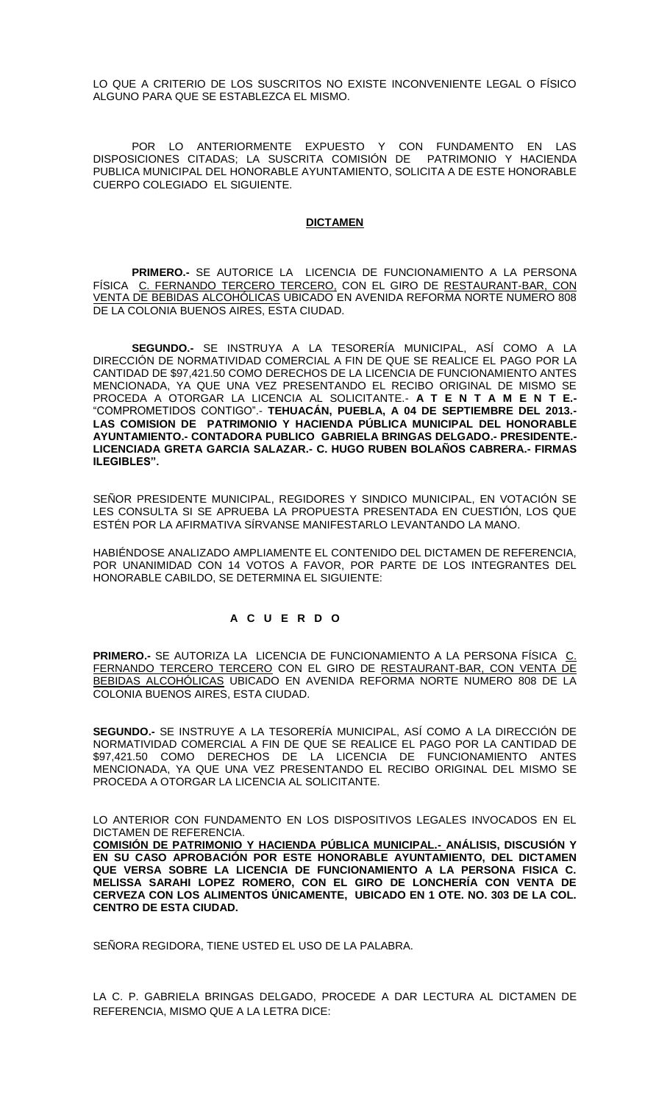LO QUE A CRITERIO DE LOS SUSCRITOS NO EXISTE INCONVENIENTE LEGAL O FÍSICO ALGUNO PARA QUE SE ESTABLEZCA EL MISMO.

POR LO ANTERIORMENTE EXPUESTO Y CON FUNDAMENTO EN LAS DISPOSICIONES CITADAS; LA SUSCRITA COMISIÓN DE PATRIMONIO Y HACIENDA PUBLICA MUNICIPAL DEL HONORABLE AYUNTAMIENTO, SOLICITA A DE ESTE HONORABLE CUERPO COLEGIADO EL SIGUIENTE.

#### **DICTAMEN**

**PRIMERO.-** SE AUTORICE LA LICENCIA DE FUNCIONAMIENTO A LA PERSONA FÍSICA C. FERNANDO TERCERO TERCERO, CON EL GIRO DE RESTAURANT-BAR, CON VENTA DE BEBIDAS ALCOHÓLICAS UBICADO EN AVENIDA REFORMA NORTE NUMERO 808 DE LA COLONIA BUENOS AIRES, ESTA CIUDAD.

**SEGUNDO.-** SE INSTRUYA A LA TESORERÍA MUNICIPAL, ASÍ COMO A LA DIRECCIÓN DE NORMATIVIDAD COMERCIAL A FIN DE QUE SE REALICE EL PAGO POR LA CANTIDAD DE \$97,421.50 COMO DERECHOS DE LA LICENCIA DE FUNCIONAMIENTO ANTES MENCIONADA, YA QUE UNA VEZ PRESENTANDO EL RECIBO ORIGINAL DE MISMO SE PROCEDA A OTORGAR LA LICENCIA AL SOLICITANTE.- **A T E N T A M E N T E.-** "COMPROMETIDOS CONTIGO".- **TEHUACÁN, PUEBLA, A 04 DE SEPTIEMBRE DEL 2013.- LAS COMISION DE PATRIMONIO Y HACIENDA PÚBLICA MUNICIPAL DEL HONORABLE AYUNTAMIENTO.- CONTADORA PUBLICO GABRIELA BRINGAS DELGADO.- PRESIDENTE.- LICENCIADA GRETA GARCIA SALAZAR.- C. HUGO RUBEN BOLAÑOS CABRERA.- FIRMAS ILEGIBLES".**

SEÑOR PRESIDENTE MUNICIPAL, REGIDORES Y SINDICO MUNICIPAL, EN VOTACIÓN SE LES CONSULTA SI SE APRUEBA LA PROPUESTA PRESENTADA EN CUESTIÓN, LOS QUE ESTÉN POR LA AFIRMATIVA SÍRVANSE MANIFESTARLO LEVANTANDO LA MANO.

HABIÉNDOSE ANALIZADO AMPLIAMENTE EL CONTENIDO DEL DICTAMEN DE REFERENCIA, POR UNANIMIDAD CON 14 VOTOS A FAVOR, POR PARTE DE LOS INTEGRANTES DEL HONORABLE CABILDO, SE DETERMINA EL SIGUIENTE:

### **A C U E R D O**

**PRIMERO.-** SE AUTORIZA LA LICENCIA DE FUNCIONAMIENTO A LA PERSONA FÍSICA C. FERNANDO TERCERO TERCERO CON EL GIRO DE RESTAURANT-BAR, CON VENTA DE BEBIDAS ALCOHÓLICAS UBICADO EN AVENIDA REFORMA NORTE NUMERO 808 DE LA COLONIA BUENOS AIRES, ESTA CIUDAD.

**SEGUNDO.-** SE INSTRUYE A LA TESORERÍA MUNICIPAL, ASÍ COMO A LA DIRECCIÓN DE NORMATIVIDAD COMERCIAL A FIN DE QUE SE REALICE EL PAGO POR LA CANTIDAD DE \$97,421.50 COMO DERECHOS DE LA LICENCIA DE FUNCIONAMIENTO ANTES MENCIONADA, YA QUE UNA VEZ PRESENTANDO EL RECIBO ORIGINAL DEL MISMO SE PROCEDA A OTORGAR LA LICENCIA AL SOLICITANTE.

LO ANTERIOR CON FUNDAMENTO EN LOS DISPOSITIVOS LEGALES INVOCADOS EN EL DICTAMEN DE REFERENCIA.

**COMISIÓN DE PATRIMONIO Y HACIENDA PÚBLICA MUNICIPAL.- ANÁLISIS, DISCUSIÓN Y EN SU CASO APROBACIÓN POR ESTE HONORABLE AYUNTAMIENTO, DEL DICTAMEN QUE VERSA SOBRE LA LICENCIA DE FUNCIONAMIENTO A LA PERSONA FISICA C. MELISSA SARAHI LOPEZ ROMERO, CON EL GIRO DE LONCHERÍA CON VENTA DE CERVEZA CON LOS ALIMENTOS ÚNICAMENTE, UBICADO EN 1 OTE. NO. 303 DE LA COL. CENTRO DE ESTA CIUDAD.**

SEÑORA REGIDORA, TIENE USTED EL USO DE LA PALABRA.

LA C. P. GABRIELA BRINGAS DELGADO, PROCEDE A DAR LECTURA AL DICTAMEN DE REFERENCIA, MISMO QUE A LA LETRA DICE: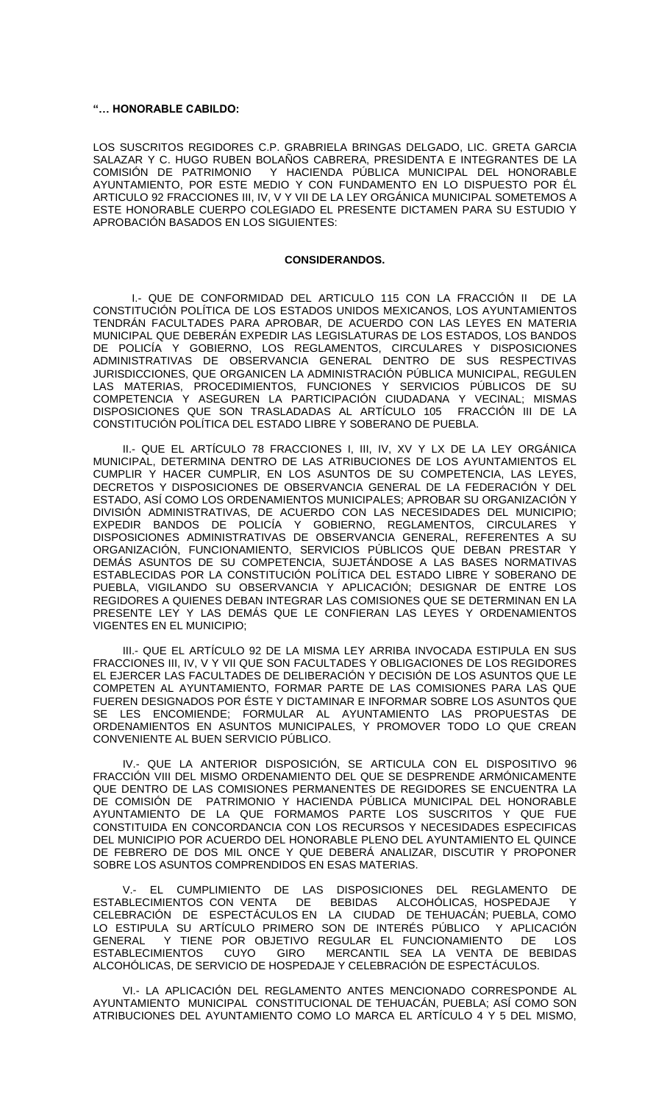#### **"… HONORABLE CABILDO:**

LOS SUSCRITOS REGIDORES C.P. GRABRIELA BRINGAS DELGADO, LIC. GRETA GARCIA SALAZAR Y C. HUGO RUBEN BOLAÑOS CABRERA, PRESIDENTA E INTEGRANTES DE LA COMISIÓN DE PATRIMONIO Y HACIENDA PÚBLICA MUNICIPAL DEL HONORABLE Y HACIENDA PÚBLICA MUNICIPAL DEL HONORABLE AYUNTAMIENTO, POR ESTE MEDIO Y CON FUNDAMENTO EN LO DISPUESTO POR ÉL ARTICULO 92 FRACCIONES III, IV, V Y VII DE LA LEY ORGÁNICA MUNICIPAL SOMETEMOS A ESTE HONORABLE CUERPO COLEGIADO EL PRESENTE DICTAMEN PARA SU ESTUDIO Y APROBACIÓN BASADOS EN LOS SIGUIENTES:

#### **CONSIDERANDOS.**

I.- QUE DE CONFORMIDAD DEL ARTICULO 115 CON LA FRACCIÓN II DE LA CONSTITUCIÓN POLÍTICA DE LOS ESTADOS UNIDOS MEXICANOS, LOS AYUNTAMIENTOS TENDRÁN FACULTADES PARA APROBAR, DE ACUERDO CON LAS LEYES EN MATERIA MUNICIPAL QUE DEBERÁN EXPEDIR LAS LEGISLATURAS DE LOS ESTADOS, LOS BANDOS DE POLICÍA Y GOBIERNO, LOS REGLAMENTOS, CIRCULARES Y DISPOSICIONES ADMINISTRATIVAS DE OBSERVANCIA GENERAL DENTRO DE SUS RESPECTIVAS JURISDICCIONES, QUE ORGANICEN LA ADMINISTRACIÓN PÚBLICA MUNICIPAL, REGULEN LAS MATERIAS, PROCEDIMIENTOS, FUNCIONES Y SERVICIOS PÚBLICOS DE SU COMPETENCIA Y ASEGUREN LA PARTICIPACIÓN CIUDADANA Y VECINAL; MISMAS DISPOSICIONES QUE SON TRASLADADAS AL ARTÍCULO 105 FRACCIÓN III DE LA CONSTITUCIÓN POLÍTICA DEL ESTADO LIBRE Y SOBERANO DE PUEBLA.

II.- QUE EL ARTÍCULO 78 FRACCIONES I, III, IV, XV Y LX DE LA LEY ORGÁNICA MUNICIPAL, DETERMINA DENTRO DE LAS ATRIBUCIONES DE LOS AYUNTAMIENTOS EL CUMPLIR Y HACER CUMPLIR, EN LOS ASUNTOS DE SU COMPETENCIA, LAS LEYES, DECRETOS Y DISPOSICIONES DE OBSERVANCIA GENERAL DE LA FEDERACIÓN Y DEL ESTADO, ASÍ COMO LOS ORDENAMIENTOS MUNICIPALES; APROBAR SU ORGANIZACIÓN Y DIVISIÓN ADMINISTRATIVAS, DE ACUERDO CON LAS NECESIDADES DEL MUNICIPIO; EXPEDIR BANDOS DE POLICÍA Y GOBIERNO, REGLAMENTOS, CIRCULARES DISPOSICIONES ADMINISTRATIVAS DE OBSERVANCIA GENERAL, REFERENTES A SU ORGANIZACIÓN, FUNCIONAMIENTO, SERVICIOS PÚBLICOS QUE DEBAN PRESTAR Y DEMÁS ASUNTOS DE SU COMPETENCIA, SUJETÁNDOSE A LAS BASES NORMATIVAS ESTABLECIDAS POR LA CONSTITUCIÓN POLÍTICA DEL ESTADO LIBRE Y SOBERANO DE PUEBLA, VIGILANDO SU OBSERVANCIA Y APLICACIÓN; DESIGNAR DE ENTRE LOS REGIDORES A QUIENES DEBAN INTEGRAR LAS COMISIONES QUE SE DETERMINAN EN LA PRESENTE LEY Y LAS DEMÁS QUE LE CONFIERAN LAS LEYES Y ORDENAMIENTOS VIGENTES EN EL MUNICIPIO;

III.- QUE EL ARTÍCULO 92 DE LA MISMA LEY ARRIBA INVOCADA ESTIPULA EN SUS FRACCIONES III, IV, V Y VII QUE SON FACULTADES Y OBLIGACIONES DE LOS REGIDORES EL EJERCER LAS FACULTADES DE DELIBERACIÓN Y DECISIÓN DE LOS ASUNTOS QUE LE COMPETEN AL AYUNTAMIENTO, FORMAR PARTE DE LAS COMISIONES PARA LAS QUE FUEREN DESIGNADOS POR ÉSTE Y DICTAMINAR E INFORMAR SOBRE LOS ASUNTOS QUE SE LES ENCOMIENDE; FORMULAR AL AYUNTAMIENTO LAS PROPUESTAS DE ORDENAMIENTOS EN ASUNTOS MUNICIPALES, Y PROMOVER TODO LO QUE CREAN CONVENIENTE AL BUEN SERVICIO PÚBLICO.

IV.- QUE LA ANTERIOR DISPOSICIÓN, SE ARTICULA CON EL DISPOSITIVO 96 FRACCIÓN VIII DEL MISMO ORDENAMIENTO DEL QUE SE DESPRENDE ARMÓNICAMENTE QUE DENTRO DE LAS COMISIONES PERMANENTES DE REGIDORES SE ENCUENTRA LA DE COMISIÓN DE PATRIMONIO Y HACIENDA PÚBLICA MUNICIPAL DEL HONORABLE AYUNTAMIENTO DE LA QUE FORMAMOS PARTE LOS SUSCRITOS Y QUE FUE CONSTITUIDA EN CONCORDANCIA CON LOS RECURSOS Y NECESIDADES ESPECIFICAS DEL MUNICIPIO POR ACUERDO DEL HONORABLE PLENO DEL AYUNTAMIENTO EL QUINCE DE FEBRERO DE DOS MIL ONCE Y QUE DEBERÁ ANALIZAR, DISCUTIR Y PROPONER SOBRE LOS ASUNTOS COMPRENDIDOS EN ESAS MATERIAS.

V.- EL CUMPLIMIENTO DE LAS DISPOSICIONES DEL REGLAMENTO DE<br>BLECIMIENTOS CON VENTA DE BEBIDAS ALCOHÓLICAS, HOSPEDAJE Y ESTABLECIMIENTOS CON VENTA DE BEBIDAS ALCOHÓLICAS, HOSPEDAJE Y CELEBRACIÓN DE ESPECTÁCULOS EN LA CIUDAD DE TEHUACÁN; PUEBLA, COMO LO ESTIPULA SU ARTÍCULO PRIMERO SON DE INTERÉS PÚBLICO Y APLICACIÓN GENERAL Y TIENE POR OBJETIVO REGULAR EL FUNCIONAMIENTO DE LOS ESTABLECIMIENTOS CUYO GIRO MERCANTIL SEA LA VENTA DE BEBIDAS ALCOHÓLICAS, DE SERVICIO DE HOSPEDAJE Y CELEBRACIÓN DE ESPECTÁCULOS.

VI.- LA APLICACIÓN DEL REGLAMENTO ANTES MENCIONADO CORRESPONDE AL AYUNTAMIENTO MUNICIPAL CONSTITUCIONAL DE TEHUACÁN, PUEBLA; ASÍ COMO SON ATRIBUCIONES DEL AYUNTAMIENTO COMO LO MARCA EL ARTÍCULO 4 Y 5 DEL MISMO,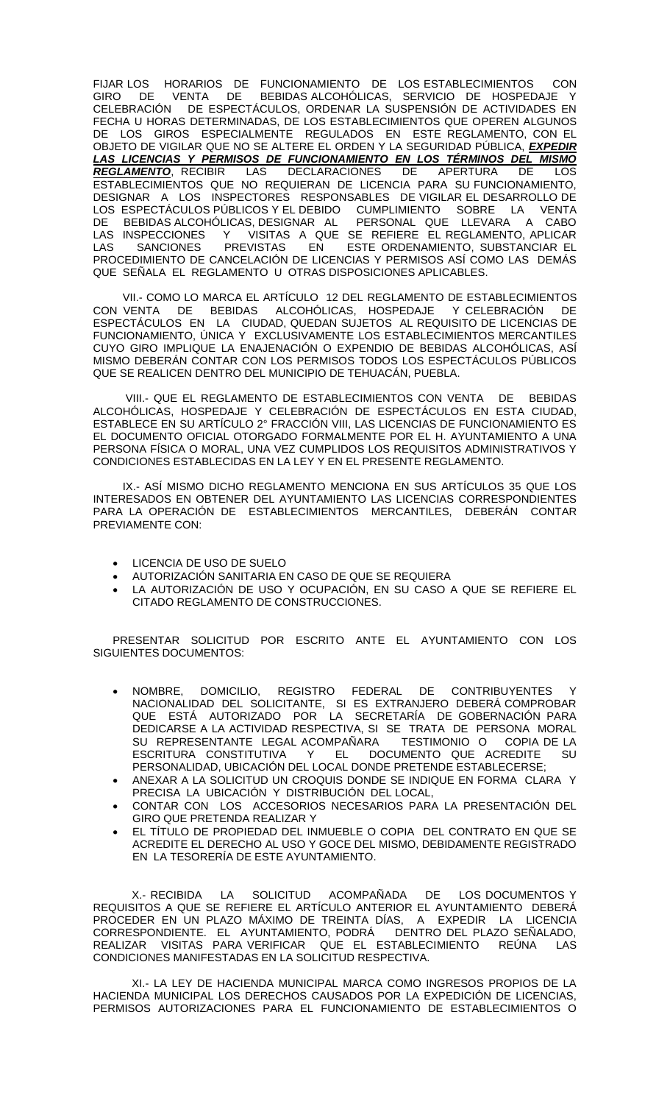FIJAR LOS HORARIOS DE FUNCIONAMIENTO DE LOS ESTABLECIMIENTOS CON GIRO DE VENTA DE BEBIDAS ALCOHÓLICAS, SERVICIO DE HOSPEDAJE Y CELEBRACIÓN DE ESPECTÁCULOS, ORDENAR LA SUSPENSIÓN DE ACTIVIDADES EN FECHA U HORAS DETERMINADAS, DE LOS ESTABLECIMIENTOS QUE OPEREN ALGUNOS DE LOS GIROS ESPECIALMENTE REGULADOS EN ESTE REGLAMENTO, CON EL OBJETO DE VIGILAR QUE NO SE ALTERE EL ORDEN Y LA SEGURIDAD PÚBLICA, *EXPEDIR LAS LICENCIAS Y PERMISOS DE FUNCIONAMIENTO EN LOS TÉRMINOS DEL MISMO REGLAMENTO*, RECIBIR LAS DECLARACIONES DE APERTURA ESTABLECIMIENTOS QUE NO REQUIERAN DE LICENCIA PARA SU FUNCIONAMIENTO, DESIGNAR A LOS INSPECTORES RESPONSABLES DE VIGILAR EL DESARROLLO DE LOS ESPECTÁCULOS PÚBLICOS Y EL DEBIDO CUMPLIMIENTO SOBRE LA VENTA DE BEBIDAS ALCOHÓLICAS, DESIGNAR AL PERSONAL QUE LLEVARA A CABO LAS INSPECCIONES Y VISITAS A QUE SE REFIERE EL REGLAMENTO, APLICAR LAS SANCIONES PREVISTAS EN ESTE ORDENAMIENTO, SUBSTANCIAR EL PROCEDIMIENTO DE CANCELACIÓN DE LICENCIAS Y PERMISOS ASÍ COMO LAS DEMÁS QUE SEÑALA EL REGLAMENTO U OTRAS DISPOSICIONES APLICABLES.

VII.- COMO LO MARCA EL ARTÍCULO 12 DEL REGLAMENTO DE ESTABLECIMIENTOS CON VENTA DE BEBIDAS ALCOHÓLICAS, HOSPEDAJE Y CELEBRACIÓN DE ESPECTÁCULOS EN LA CIUDAD, QUEDAN SUJETOS AL REQUISITO DE LICENCIAS DE FUNCIONAMIENTO, ÚNICA Y EXCLUSIVAMENTE LOS ESTABLECIMIENTOS MERCANTILES CUYO GIRO IMPLIQUE LA ENAJENACIÓN O EXPENDIO DE BEBIDAS ALCOHÓLICAS, ASÍ MISMO DEBERÁN CONTAR CON LOS PERMISOS TODOS LOS ESPECTÁCULOS PÚBLICOS QUE SE REALICEN DENTRO DEL MUNICIPIO DE TEHUACÁN, PUEBLA.

VIII.- QUE EL REGLAMENTO DE ESTABLECIMIENTOS CON VENTA DE BEBIDAS ALCOHÓLICAS, HOSPEDAJE Y CELEBRACIÓN DE ESPECTÁCULOS EN ESTA CIUDAD, ESTABLECE EN SU ARTÍCULO 2° FRACCIÓN VIII, LAS LICENCIAS DE FUNCIONAMIENTO ES EL DOCUMENTO OFICIAL OTORGADO FORMALMENTE POR EL H. AYUNTAMIENTO A UNA PERSONA FÍSICA O MORAL, UNA VEZ CUMPLIDOS LOS REQUISITOS ADMINISTRATIVOS Y CONDICIONES ESTABLECIDAS EN LA LEY Y EN EL PRESENTE REGLAMENTO.

IX.- ASÍ MISMO DICHO REGLAMENTO MENCIONA EN SUS ARTÍCULOS 35 QUE LOS INTERESADOS EN OBTENER DEL AYUNTAMIENTO LAS LICENCIAS CORRESPONDIENTES PARA LA OPERACIÓN DE ESTABLECIMIENTOS MERCANTILES, DEBERÁN CONTAR PREVIAMENTE CON:

- LICENCIA DE USO DE SUELO
- AUTORIZACIÓN SANITARIA EN CASO DE QUE SE REQUIERA
- LA AUTORIZACIÓN DE USO Y OCUPACIÓN, EN SU CASO A QUE SE REFIERE EL CITADO REGLAMENTO DE CONSTRUCCIONES.

PRESENTAR SOLICITUD POR ESCRITO ANTE EL AYUNTAMIENTO CON LOS SIGUIENTES DOCUMENTOS:

- NOMBRE, DOMICILIO, REGISTRO FEDERAL DE CONTRIBUYENTES Y NACIONALIDAD DEL SOLICITANTE, SI ES EXTRANJERO DEBERÁ COMPROBAR QUE ESTÁ AUTORIZADO POR LA SECRETARÍA DE GOBERNACIÓN PARA DEDICARSE A LA ACTIVIDAD RESPECTIVA, SI SE TRATA DE PERSONA MORAL SU REPRESENTANTE LEGAL ACOMPANARA TESTIMONIO O COPIA DE LA ESCRITURA CONSTITUTIVA Y EL DOCUMENTO QUE ACREDITE SU PERSONALIDAD, UBICACIÓN DEL LOCAL DONDE PRETENDE ESTABLECERSE;
- ANEXAR A LA SOLICITUD UN CROQUIS DONDE SE INDIQUE EN FORMA CLARA Y PRECISA LA UBICACIÓN Y DISTRIBUCIÓN DEL LOCAL,
- CONTAR CON LOS ACCESORIOS NECESARIOS PARA LA PRESENTACIÓN DEL GIRO QUE PRETENDA REALIZAR Y
- EL TÍTULO DE PROPIEDAD DEL INMUEBLE O COPIA DEL CONTRATO EN QUE SE ACREDITE EL DERECHO AL USO Y GOCE DEL MISMO, DEBIDAMENTE REGISTRADO EN LA TESORERÍA DE ESTE AYUNTAMIENTO.

X.- RECIBIDA LA SOLICITUD ACOMPAÑADA DE LOS DOCUMENTOS Y REQUISITOS A QUE SE REFIERE EL ARTÍCULO ANTERIOR EL AYUNTAMIENTO DEBERÁ PROCEDER EN UN PLAZO MÁXIMO DE TREINTA DÍAS, A EXPEDIR LA LICENCIA<br>CORRESPONDIENTE. EL AYUNTAMIENTO, PODRÁ DENTRO DEL PLAZO SEÑALADO, CORRESPONDIENTE. EL AYUNTAMIENTO, PODRÁ REALIZAR VISITAS PARA VERIFICAR QUE EL ESTABLECIMIENTO REÚNA LAS CONDICIONES MANIFESTADAS EN LA SOLICITUD RESPECTIVA.

XI.- LA LEY DE HACIENDA MUNICIPAL MARCA COMO INGRESOS PROPIOS DE LA HACIENDA MUNICIPAL LOS DERECHOS CAUSADOS POR LA EXPEDICIÓN DE LICENCIAS, PERMISOS AUTORIZACIONES PARA EL FUNCIONAMIENTO DE ESTABLECIMIENTOS O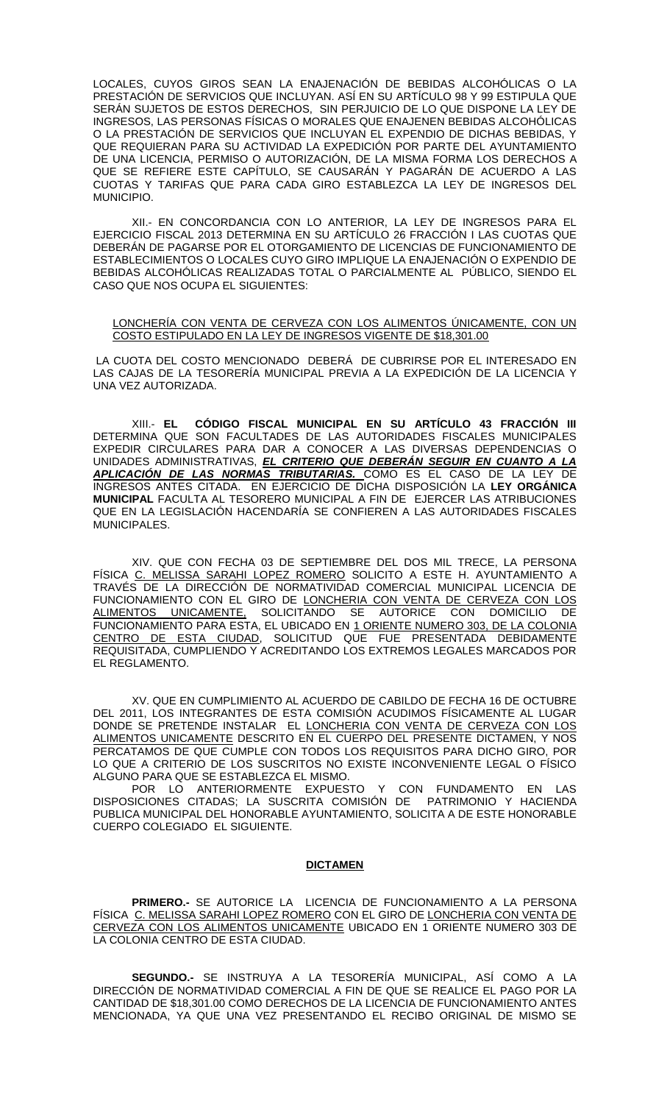LOCALES, CUYOS GIROS SEAN LA ENAJENACIÓN DE BEBIDAS ALCOHÓLICAS O LA PRESTACIÓN DE SERVICIOS QUE INCLUYAN. ASÍ EN SU ARTÍCULO 98 Y 99 ESTIPULA QUE SERÁN SUJETOS DE ESTOS DERECHOS, SIN PERJUICIO DE LO QUE DISPONE LA LEY DE INGRESOS, LAS PERSONAS FÍSICAS O MORALES QUE ENAJENEN BEBIDAS ALCOHÓLICAS O LA PRESTACIÓN DE SERVICIOS QUE INCLUYAN EL EXPENDIO DE DICHAS BEBIDAS, Y QUE REQUIERAN PARA SU ACTIVIDAD LA EXPEDICIÓN POR PARTE DEL AYUNTAMIENTO DE UNA LICENCIA, PERMISO O AUTORIZACIÓN, DE LA MISMA FORMA LOS DERECHOS A QUE SE REFIERE ESTE CAPÍTULO, SE CAUSARÁN Y PAGARÁN DE ACUERDO A LAS CUOTAS Y TARIFAS QUE PARA CADA GIRO ESTABLEZCA LA LEY DE INGRESOS DEL **MUNICIPIO.** 

XII.- EN CONCORDANCIA CON LO ANTERIOR, LA LEY DE INGRESOS PARA EL EJERCICIO FISCAL 2013 DETERMINA EN SU ARTÍCULO 26 FRACCIÓN I LAS CUOTAS QUE DEBERÁN DE PAGARSE POR EL OTORGAMIENTO DE LICENCIAS DE FUNCIONAMIENTO DE ESTABLECIMIENTOS O LOCALES CUYO GIRO IMPLIQUE LA ENAJENACIÓN O EXPENDIO DE BEBIDAS ALCOHÓLICAS REALIZADAS TOTAL O PARCIALMENTE AL PÚBLICO, SIENDO EL CASO QUE NOS OCUPA EL SIGUIENTES:

#### LONCHERÍA CON VENTA DE CERVEZA CON LOS ALIMENTOS ÚNICAMENTE, CON UN COSTO ESTIPULADO EN LA LEY DE INGRESOS VIGENTE DE \$18,301.00

LA CUOTA DEL COSTO MENCIONADO DEBERÁ DE CUBRIRSE POR EL INTERESADO EN LAS CAJAS DE LA TESORERÍA MUNICIPAL PREVIA A LA EXPEDICIÓN DE LA LICENCIA Y UNA VEZ AUTORIZADA.

XIII.- **EL CÓDIGO FISCAL MUNICIPAL EN SU ARTÍCULO 43 FRACCIÓN III** DETERMINA QUE SON FACULTADES DE LAS AUTORIDADES FISCALES MUNICIPALES EXPEDIR CIRCULARES PARA DAR A CONOCER A LAS DIVERSAS DEPENDENCIAS O UNIDADES ADMINISTRATIVAS, *EL CRITERIO QUE DEBERÁN SEGUIR EN CUANTO A LA APLICACIÓN DE LAS NORMAS TRIBUTARIAS.* COMO ES EL CASO DE LA LEY DE INGRESOS ANTES CITADA. EN EJERCICIO DE DICHA DISPOSICIÓN LA **LEY ORGÁNICA MUNICIPAL** FACULTA AL TESORERO MUNICIPAL A FIN DE EJERCER LAS ATRIBUCIONES QUE EN LA LEGISLACIÓN HACENDARÍA SE CONFIEREN A LAS AUTORIDADES FISCALES MUNICIPALES.

XIV. QUE CON FECHA 03 DE SEPTIEMBRE DEL DOS MIL TRECE, LA PERSONA FÍSICA C. MELISSA SARAHI LOPEZ ROMERO SOLICITO A ESTE H. AYUNTAMIENTO A TRAVÉS DE LA DIRECCIÓN DE NORMATIVIDAD COMERCIAL MUNICIPAL LICENCIA DE FUNCIONAMIENTO CON EL GIRO DE LONCHERIA CON VENTA DE CERVEZA CON LOS ALIMENTOS UNICAMENTE, SOLICITANDO SE AUTORICE CON DOMICILIO DE FUNCIONAMIENTO PARA ESTA, EL UBICADO EN 1 ORIENTE NUMERO 303, DE LA COLONIA CENTRO DE ESTA CIUDAD, SOLICITUD QUE FUE PRESENTADA DEBIDAMENTE REQUISITADA, CUMPLIENDO Y ACREDITANDO LOS EXTREMOS LEGALES MARCADOS POR EL REGLAMENTO.

XV. QUE EN CUMPLIMIENTO AL ACUERDO DE CABILDO DE FECHA 16 DE OCTUBRE DEL 2011, LOS INTEGRANTES DE ESTA COMISIÓN ACUDIMOS FÍSICAMENTE AL LUGAR DONDE SE PRETENDE INSTALAR EL LONCHERIA CON VENTA DE CERVEZA CON LOS ALIMENTOS UNICAMENTE DESCRITO EN EL CUERPO DEL PRESENTE DICTAMEN, Y NOS PERCATAMOS DE QUE CUMPLE CON TODOS LOS REQUISITOS PARA DICHO GIRO, POR LO QUE A CRITERIO DE LOS SUSCRITOS NO EXISTE INCONVENIENTE LEGAL O FÍSICO ALGUNO PARA QUE SE ESTABLEZCA EL MISMO.

POR LO ANTERIORMENTE EXPUESTO Y CON FUNDAMENTO EN LAS DISPOSICIONES CITADAS; LA SUSCRITA COMISIÓN DE PATRIMONIO Y HACIENDA PUBLICA MUNICIPAL DEL HONORABLE AYUNTAMIENTO, SOLICITA A DE ESTE HONORABLE CUERPO COLEGIADO EL SIGUIENTE.

#### **DICTAMEN**

**PRIMERO.-** SE AUTORICE LA LICENCIA DE FUNCIONAMIENTO A LA PERSONA FÍSICA C. MELISSA SARAHI LOPEZ ROMERO CON EL GIRO DE LONCHERIA CON VENTA DE CERVEZA CON LOS ALIMENTOS UNICAMENTE UBICADO EN 1 ORIENTE NUMERO 303 DE LA COLONIA CENTRO DE ESTA CIUDAD.

**SEGUNDO.-** SE INSTRUYA A LA TESORERÍA MUNICIPAL, ASÍ COMO A LA DIRECCIÓN DE NORMATIVIDAD COMERCIAL A FIN DE QUE SE REALICE EL PAGO POR LA CANTIDAD DE \$18,301.00 COMO DERECHOS DE LA LICENCIA DE FUNCIONAMIENTO ANTES MENCIONADA, YA QUE UNA VEZ PRESENTANDO EL RECIBO ORIGINAL DE MISMO SE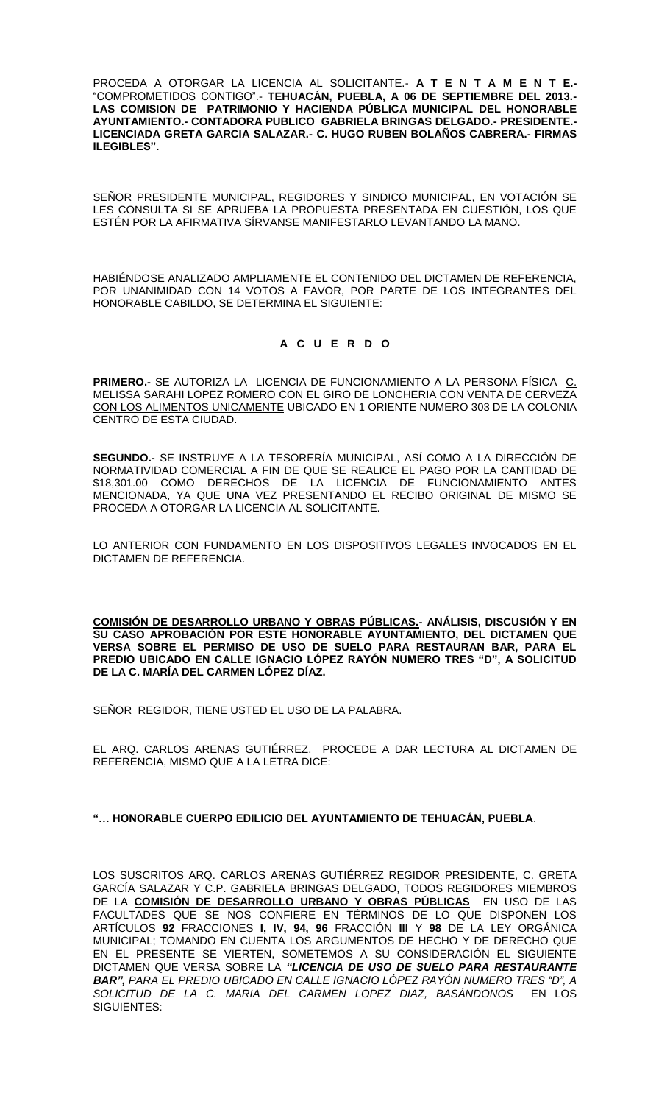PROCEDA A OTORGAR LA LICENCIA AL SOLICITANTE.- **A T E N T A M E N T E.-** "COMPROMETIDOS CONTIGO".- **TEHUACÁN, PUEBLA, A 06 DE SEPTIEMBRE DEL 2013.- LAS COMISION DE PATRIMONIO Y HACIENDA PÚBLICA MUNICIPAL DEL HONORABLE AYUNTAMIENTO.- CONTADORA PUBLICO GABRIELA BRINGAS DELGADO.- PRESIDENTE.- LICENCIADA GRETA GARCIA SALAZAR.- C. HUGO RUBEN BOLAÑOS CABRERA.- FIRMAS ILEGIBLES".**

SEÑOR PRESIDENTE MUNICIPAL, REGIDORES Y SINDICO MUNICIPAL, EN VOTACIÓN SE LES CONSULTA SI SE APRUEBA LA PROPUESTA PRESENTADA EN CUESTIÓN, LOS QUE ESTÉN POR LA AFIRMATIVA SÍRVANSE MANIFESTARLO LEVANTANDO LA MANO.

HABIÉNDOSE ANALIZADO AMPLIAMENTE EL CONTENIDO DEL DICTAMEN DE REFERENCIA, POR UNANIMIDAD CON 14 VOTOS A FAVOR, POR PARTE DE LOS INTEGRANTES DEL HONORABLE CABILDO, SE DETERMINA EL SIGUIENTE:

## **A C U E R D O**

**PRIMERO.-** SE AUTORIZA LA LICENCIA DE FUNCIONAMIENTO A LA PERSONA FÍSICA C. MELISSA SARAHI LOPEZ ROMERO CON EL GIRO DE LONCHERIA CON VENTA DE CERVEZA CON LOS ALIMENTOS UNICAMENTE UBICADO EN 1 ORIENTE NUMERO 303 DE LA COLONIA CENTRO DE ESTA CIUDAD.

**SEGUNDO.-** SE INSTRUYE A LA TESORERÍA MUNICIPAL, ASÍ COMO A LA DIRECCIÓN DE NORMATIVIDAD COMERCIAL A FIN DE QUE SE REALICE EL PAGO POR LA CANTIDAD DE \$18,301.00 COMO DERECHOS DE LA LICENCIA DE FUNCIONAMIENTO ANTES MENCIONADA, YA QUE UNA VEZ PRESENTANDO EL RECIBO ORIGINAL DE MISMO SE PROCEDA A OTORGAR LA LICENCIA AL SOLICITANTE.

LO ANTERIOR CON FUNDAMENTO EN LOS DISPOSITIVOS LEGALES INVOCADOS EN EL DICTAMEN DE REFERENCIA.

**COMISIÓN DE DESARROLLO URBANO Y OBRAS PÚBLICAS.- ANÁLISIS, DISCUSIÓN Y EN SU CASO APROBACIÓN POR ESTE HONORABLE AYUNTAMIENTO, DEL DICTAMEN QUE VERSA SOBRE EL PERMISO DE USO DE SUELO PARA RESTAURAN BAR, PARA EL PREDIO UBICADO EN CALLE IGNACIO LÓPEZ RAYÓN NUMERO TRES "D", A SOLICITUD DE LA C. MARÍA DEL CARMEN LÓPEZ DÍAZ.**

SEÑOR REGIDOR, TIENE USTED EL USO DE LA PALABRA.

EL ARQ. CARLOS ARENAS GUTIÉRREZ, PROCEDE A DAR LECTURA AL DICTAMEN DE REFERENCIA, MISMO QUE A LA LETRA DICE:

#### **"… HONORABLE CUERPO EDILICIO DEL AYUNTAMIENTO DE TEHUACÁN, PUEBLA**.

LOS SUSCRITOS ARQ. CARLOS ARENAS GUTIÉRREZ REGIDOR PRESIDENTE, C. GRETA GARCÍA SALAZAR Y C.P. GABRIELA BRINGAS DELGADO, TODOS REGIDORES MIEMBROS DE LA **COMISIÓN DE DESARROLLO URBANO Y OBRAS PÚBLICAS** EN USO DE LAS FACULTADES QUE SE NOS CONFIERE EN TÉRMINOS DE LO QUE DISPONEN LOS ARTÍCULOS **92** FRACCIONES **I, IV, 94, 96** FRACCIÓN **III** Y **98** DE LA LEY ORGÁNICA MUNICIPAL; TOMANDO EN CUENTA LOS ARGUMENTOS DE HECHO Y DE DERECHO QUE EN EL PRESENTE SE VIERTEN, SOMETEMOS A SU CONSIDERACIÓN EL SIGUIENTE DICTAMEN QUE VERSA SOBRE LA *"LICENCIA DE USO DE SUELO PARA RESTAURANTE BAR", PARA EL PREDIO UBICADO EN CALLE IGNACIO LÓPEZ RAYÓN NUMERO TRES "D", A SOLICITUD DE LA C. MARIA DEL CARMEN LOPEZ DIAZ, BASÁNDONOS* EN LOS SIGUIENTES: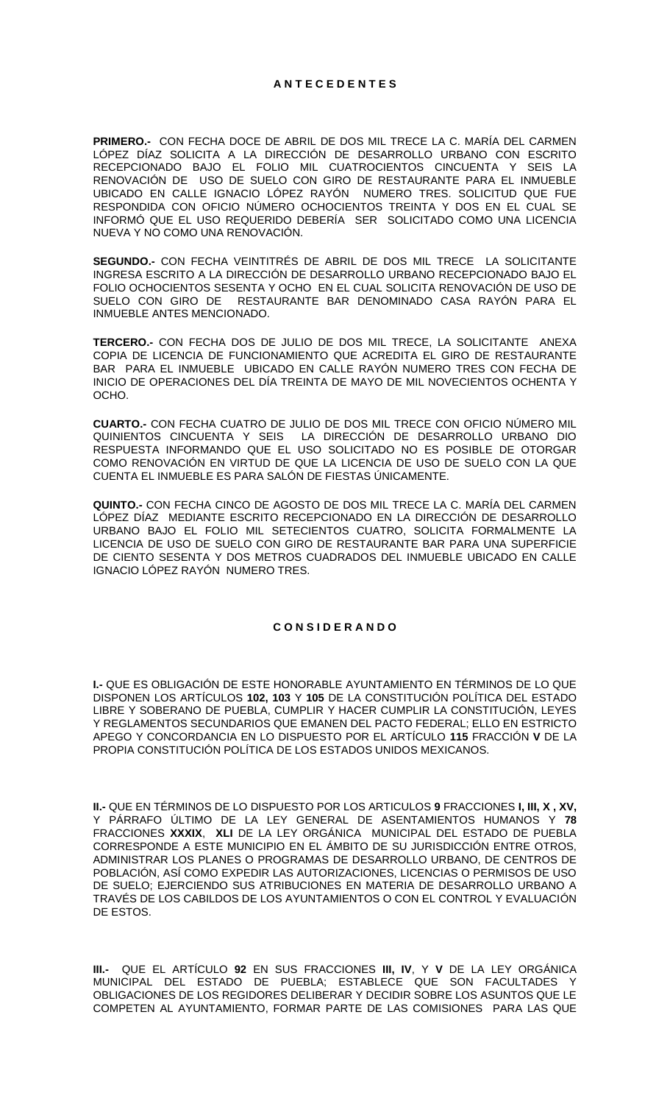**PRIMERO.-** CON FECHA DOCE DE ABRIL DE DOS MIL TRECE LA C. MARÍA DEL CARMEN LÓPEZ DÍAZ SOLICITA A LA DIRECCIÓN DE DESARROLLO URBANO CON ESCRITO RECEPCIONADO BAJO EL FOLIO MIL CUATROCIENTOS CINCUENTA Y SEIS LA RENOVACIÓN DE USO DE SUELO CON GIRO DE RESTAURANTE PARA EL INMUEBLE UBICADO EN CALLE IGNACIO LÓPEZ RAYÓN NUMERO TRES. SOLICITUD QUE FUE RESPONDIDA CON OFICIO NÚMERO OCHOCIENTOS TREINTA Y DOS EN EL CUAL SE INFORMÓ QUE EL USO REQUERIDO DEBERÍA SER SOLICITADO COMO UNA LICENCIA NUEVA Y NO COMO UNA RENOVACIÓN.

**SEGUNDO.-** CON FECHA VEINTITRÉS DE ABRIL DE DOS MIL TRECE LA SOLICITANTE INGRESA ESCRITO A LA DIRECCIÓN DE DESARROLLO URBANO RECEPCIONADO BAJO EL FOLIO OCHOCIENTOS SESENTA Y OCHO EN EL CUAL SOLICITA RENOVACIÓN DE USO DE SUELO CON GIRO DE RESTAURANTE BAR DENOMINADO CASA RAYÓN PARA EL INMUEBLE ANTES MENCIONADO.

**TERCERO.-** CON FECHA DOS DE JULIO DE DOS MIL TRECE, LA SOLICITANTE ANEXA COPIA DE LICENCIA DE FUNCIONAMIENTO QUE ACREDITA EL GIRO DE RESTAURANTE BAR PARA EL INMUEBLE UBICADO EN CALLE RAYÓN NUMERO TRES CON FECHA DE INICIO DE OPERACIONES DEL DÍA TREINTA DE MAYO DE MIL NOVECIENTOS OCHENTA Y OCHO.

**CUARTO.-** CON FECHA CUATRO DE JULIO DE DOS MIL TRECE CON OFICIO NÚMERO MIL QUINIENTOS CINCUENTA Y SEIS LA DIRECCIÓN DE DESARROLLO URBANO DIO RESPUESTA INFORMANDO QUE EL USO SOLICITADO NO ES POSIBLE DE OTORGAR COMO RENOVACIÓN EN VIRTUD DE QUE LA LICENCIA DE USO DE SUELO CON LA QUE CUENTA EL INMUEBLE ES PARA SALÓN DE FIESTAS ÚNICAMENTE.

**QUINTO.-** CON FECHA CINCO DE AGOSTO DE DOS MIL TRECE LA C. MARÍA DEL CARMEN LÓPEZ DÍAZ MEDIANTE ESCRITO RECEPCIONADO EN LA DIRECCIÓN DE DESARROLLO URBANO BAJO EL FOLIO MIL SETECIENTOS CUATRO, SOLICITA FORMALMENTE LA LICENCIA DE USO DE SUELO CON GIRO DE RESTAURANTE BAR PARA UNA SUPERFICIE DE CIENTO SESENTA Y DOS METROS CUADRADOS DEL INMUEBLE UBICADO EN CALLE IGNACIO LÓPEZ RAYÓN NUMERO TRES.

#### **C O N S I D E R A N D O**

**I.-** QUE ES OBLIGACIÓN DE ESTE HONORABLE AYUNTAMIENTO EN TÉRMINOS DE LO QUE DISPONEN LOS ARTÍCULOS **102, 103** Y **105** DE LA CONSTITUCIÓN POLÍTICA DEL ESTADO LIBRE Y SOBERANO DE PUEBLA, CUMPLIR Y HACER CUMPLIR LA CONSTITUCIÓN, LEYES Y REGLAMENTOS SECUNDARIOS QUE EMANEN DEL PACTO FEDERAL; ELLO EN ESTRICTO APEGO Y CONCORDANCIA EN LO DISPUESTO POR EL ARTÍCULO **115** FRACCIÓN **V** DE LA PROPIA CONSTITUCIÓN POLÍTICA DE LOS ESTADOS UNIDOS MEXICANOS.

**II.-** QUE EN TÉRMINOS DE LO DISPUESTO POR LOS ARTICULOS **9** FRACCIONES **I, III, X , XV,**  Y PÁRRAFO ÚLTIMO DE LA LEY GENERAL DE ASENTAMIENTOS HUMANOS Y **78** FRACCIONES **XXXIX**, **XLI** DE LA LEY ORGÁNICA MUNICIPAL DEL ESTADO DE PUEBLA CORRESPONDE A ESTE MUNICIPIO EN EL ÁMBITO DE SU JURISDICCIÓN ENTRE OTROS, ADMINISTRAR LOS PLANES O PROGRAMAS DE DESARROLLO URBANO, DE CENTROS DE POBLACIÓN, ASÍ COMO EXPEDIR LAS AUTORIZACIONES, LICENCIAS O PERMISOS DE USO DE SUELO; EJERCIENDO SUS ATRIBUCIONES EN MATERIA DE DESARROLLO URBANO A TRAVÉS DE LOS CABILDOS DE LOS AYUNTAMIENTOS O CON EL CONTROL Y EVALUACIÓN DE ESTOS.

**III.-** QUE EL ARTÍCULO **92** EN SUS FRACCIONES **III, IV**, Y **V** DE LA LEY ORGÁNICA MUNICIPAL DEL ESTADO DE PUEBLA; ESTABLECE QUE SON FACULTADES Y OBLIGACIONES DE LOS REGIDORES DELIBERAR Y DECIDIR SOBRE LOS ASUNTOS QUE LE COMPETEN AL AYUNTAMIENTO, FORMAR PARTE DE LAS COMISIONES PARA LAS QUE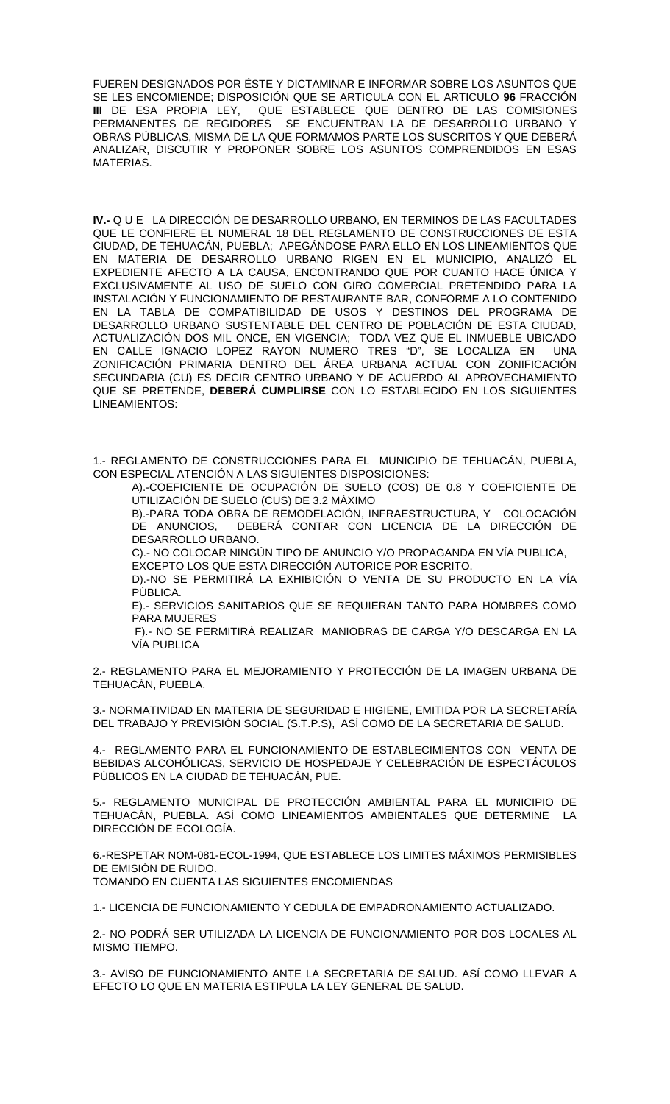FUEREN DESIGNADOS POR ÉSTE Y DICTAMINAR E INFORMAR SOBRE LOS ASUNTOS QUE SE LES ENCOMIENDE; DISPOSICIÓN QUE SE ARTICULA CON EL ARTICULO **96** FRACCIÓN QUE ESTABLECE QUE DENTRO DE LAS COMISIONES PERMANENTES DE REGIDORES SE ENCUENTRAN LA DE DESARROLLO URBANO Y OBRAS PÚBLICAS, MISMA DE LA QUE FORMAMOS PARTE LOS SUSCRITOS Y QUE DEBERÁ ANALIZAR, DISCUTIR Y PROPONER SOBRE LOS ASUNTOS COMPRENDIDOS EN ESAS MATERIAS.

**IV.-** Q U E LA DIRECCIÓN DE DESARROLLO URBANO, EN TERMINOS DE LAS FACULTADES QUE LE CONFIERE EL NUMERAL 18 DEL REGLAMENTO DE CONSTRUCCIONES DE ESTA CIUDAD, DE TEHUACÁN, PUEBLA; APEGÁNDOSE PARA ELLO EN LOS LINEAMIENTOS QUE EN MATERIA DE DESARROLLO URBANO RIGEN EN EL MUNICIPIO, ANALIZÓ EL EXPEDIENTE AFECTO A LA CAUSA, ENCONTRANDO QUE POR CUANTO HACE ÚNICA Y EXCLUSIVAMENTE AL USO DE SUELO CON GIRO COMERCIAL PRETENDIDO PARA LA INSTALACIÓN Y FUNCIONAMIENTO DE RESTAURANTE BAR, CONFORME A LO CONTENIDO EN LA TABLA DE COMPATIBILIDAD DE USOS Y DESTINOS DEL PROGRAMA DE DESARROLLO URBANO SUSTENTABLE DEL CENTRO DE POBLACIÓN DE ESTA CIUDAD, ACTUALIZACIÓN DOS MIL ONCE, EN VIGENCIA; TODA VEZ QUE EL INMUEBLE UBICADO EN CALLE IGNACIO LOPEZ RAYON NUMERO TRES "D", SE LOCALIZA EN UNA ZONIFICACIÓN PRIMARIA DENTRO DEL ÁREA URBANA ACTUAL CON ZONIFICACIÓN SECUNDARIA (CU) ES DECIR CENTRO URBANO Y DE ACUERDO AL APROVECHAMIENTO QUE SE PRETENDE, **DEBERÁ CUMPLIRSE** CON LO ESTABLECIDO EN LOS SIGUIENTES LINEAMIENTOS:

1.- REGLAMENTO DE CONSTRUCCIONES PARA EL MUNICIPIO DE TEHUACÁN, PUEBLA, CON ESPECIAL ATENCIÓN A LAS SIGUIENTES DISPOSICIONES:

A).-COEFICIENTE DE OCUPACIÓN DE SUELO (COS) DE 0.8 Y COEFICIENTE DE UTILIZACIÓN DE SUELO (CUS) DE 3.2 MÁXIMO

B).-PARA TODA OBRA DE REMODELACIÓN, INFRAESTRUCTURA, Y COLOCACIÓN DE ANUNCIOS, DEBERÁ CONTAR CON LICENCIA DE LA DIRECCIÓN DE DESARROLLO URBANO.

C).- NO COLOCAR NINGÚN TIPO DE ANUNCIO Y/O PROPAGANDA EN VÍA PUBLICA, EXCEPTO LOS QUE ESTA DIRECCIÓN AUTORICE POR ESCRITO.

D).-NO SE PERMITIRÁ LA EXHIBICIÓN O VENTA DE SU PRODUCTO EN LA VÍA PÚBLICA.

E).- SERVICIOS SANITARIOS QUE SE REQUIERAN TANTO PARA HOMBRES COMO PARA MUJERES

F).- NO SE PERMITIRÁ REALIZAR MANIOBRAS DE CARGA Y/O DESCARGA EN LA VÍA PUBLICA

2.- REGLAMENTO PARA EL MEJORAMIENTO Y PROTECCIÓN DE LA IMAGEN URBANA DE TEHUACÁN, PUEBLA.

3.- NORMATIVIDAD EN MATERIA DE SEGURIDAD E HIGIENE, EMITIDA POR LA SECRETARÍA DEL TRABAJO Y PREVISIÓN SOCIAL (S.T.P.S), ASÍ COMO DE LA SECRETARIA DE SALUD.

4.- REGLAMENTO PARA EL FUNCIONAMIENTO DE ESTABLECIMIENTOS CON VENTA DE BEBIDAS ALCOHÓLICAS, SERVICIO DE HOSPEDAJE Y CELEBRACIÓN DE ESPECTÁCULOS PÚBLICOS EN LA CIUDAD DE TEHUACÁN, PUE.

5.- REGLAMENTO MUNICIPAL DE PROTECCIÓN AMBIENTAL PARA EL MUNICIPIO DE TEHUACÁN, PUEBLA. ASÍ COMO LINEAMIENTOS AMBIENTALES QUE DETERMINE LA DIRECCIÓN DE ECOLOGÍA.

6.-RESPETAR NOM-081-ECOL-1994, QUE ESTABLECE LOS LIMITES MÁXIMOS PERMISIBLES DE EMISIÓN DE RUIDO.

TOMANDO EN CUENTA LAS SIGUIENTES ENCOMIENDAS

1.- LICENCIA DE FUNCIONAMIENTO Y CEDULA DE EMPADRONAMIENTO ACTUALIZADO.

2.- NO PODRÁ SER UTILIZADA LA LICENCIA DE FUNCIONAMIENTO POR DOS LOCALES AL MISMO TIEMPO.

3.- AVISO DE FUNCIONAMIENTO ANTE LA SECRETARIA DE SALUD. ASÍ COMO LLEVAR A EFECTO LO QUE EN MATERIA ESTIPULA LA LEY GENERAL DE SALUD.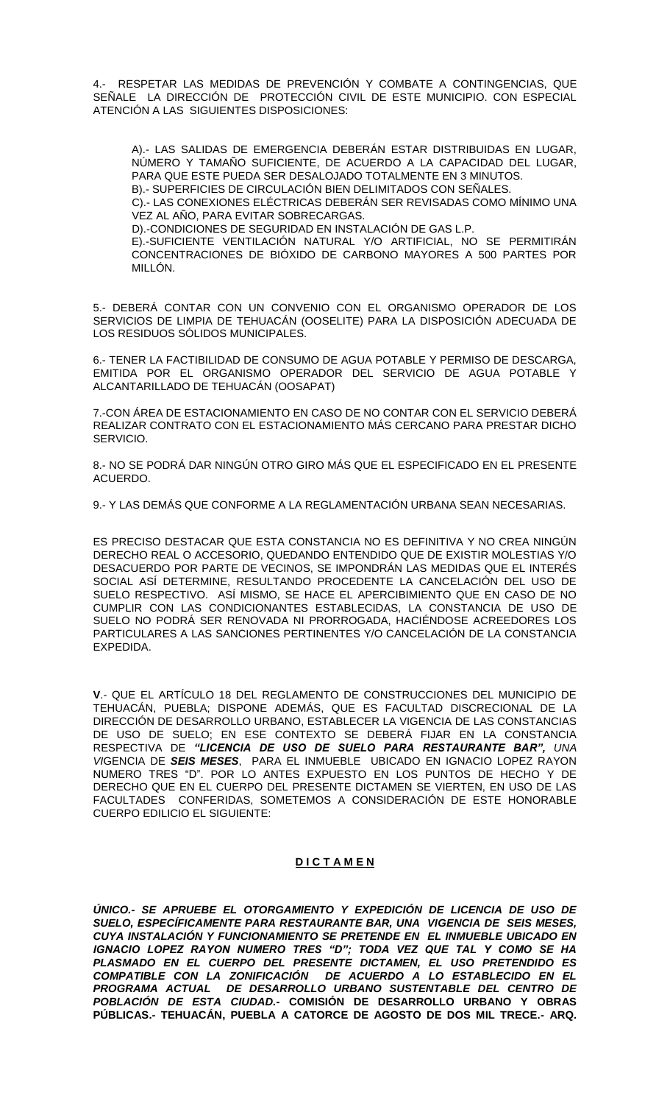4.- RESPETAR LAS MEDIDAS DE PREVENCIÓN Y COMBATE A CONTINGENCIAS, QUE SEÑALE LA DIRECCIÓN DE PROTECCIÓN CIVIL DE ESTE MUNICIPIO. CON ESPECIAL ATENCIÓN A LAS SIGUIENTES DISPOSICIONES:

A).- LAS SALIDAS DE EMERGENCIA DEBERÁN ESTAR DISTRIBUIDAS EN LUGAR, NÚMERO Y TAMAÑO SUFICIENTE, DE ACUERDO A LA CAPACIDAD DEL LUGAR, PARA QUE ESTE PUEDA SER DESALOJADO TOTALMENTE EN 3 MINUTOS.

B).- SUPERFICIES DE CIRCULACIÓN BIEN DELIMITADOS CON SEÑALES.

C).- LAS CONEXIONES ELÉCTRICAS DEBERÁN SER REVISADAS COMO MÍNIMO UNA VEZ AL AÑO, PARA EVITAR SOBRECARGAS.

D).-CONDICIONES DE SEGURIDAD EN INSTALACIÓN DE GAS L.P.

E).-SUFICIENTE VENTILACIÓN NATURAL Y/O ARTIFICIAL, NO SE PERMITIRÁN CONCENTRACIONES DE BIÓXIDO DE CARBONO MAYORES A 500 PARTES POR MILLÓN.

5.- DEBERÁ CONTAR CON UN CONVENIO CON EL ORGANISMO OPERADOR DE LOS SERVICIOS DE LIMPIA DE TEHUACÁN (OOSELITE) PARA LA DISPOSICIÓN ADECUADA DE LOS RESIDUOS SÓLIDOS MUNICIPALES.

6.- TENER LA FACTIBILIDAD DE CONSUMO DE AGUA POTABLE Y PERMISO DE DESCARGA, EMITIDA POR EL ORGANISMO OPERADOR DEL SERVICIO DE AGUA POTABLE Y ALCANTARILLADO DE TEHUACÁN (OOSAPAT)

7.-CON ÁREA DE ESTACIONAMIENTO EN CASO DE NO CONTAR CON EL SERVICIO DEBERÁ REALIZAR CONTRATO CON EL ESTACIONAMIENTO MÁS CERCANO PARA PRESTAR DICHO SERVICIO.

8.- NO SE PODRÁ DAR NINGÚN OTRO GIRO MÁS QUE EL ESPECIFICADO EN EL PRESENTE ACUERDO.

9.- Y LAS DEMÁS QUE CONFORME A LA REGLAMENTACIÓN URBANA SEAN NECESARIAS.

ES PRECISO DESTACAR QUE ESTA CONSTANCIA NO ES DEFINITIVA Y NO CREA NINGÚN DERECHO REAL O ACCESORIO, QUEDANDO ENTENDIDO QUE DE EXISTIR MOLESTIAS Y/O DESACUERDO POR PARTE DE VECINOS, SE IMPONDRÁN LAS MEDIDAS QUE EL INTERÉS SOCIAL ASÍ DETERMINE, RESULTANDO PROCEDENTE LA CANCELACIÓN DEL USO DE SUELO RESPECTIVO. ASÍ MISMO, SE HACE EL APERCIBIMIENTO QUE EN CASO DE NO CUMPLIR CON LAS CONDICIONANTES ESTABLECIDAS, LA CONSTANCIA DE USO DE SUELO NO PODRÁ SER RENOVADA NI PRORROGADA, HACIÉNDOSE ACREEDORES LOS PARTICULARES A LAS SANCIONES PERTINENTES Y/O CANCELACIÓN DE LA CONSTANCIA EXPEDIDA.

**V**.- QUE EL ARTÍCULO 18 DEL REGLAMENTO DE CONSTRUCCIONES DEL MUNICIPIO DE TEHUACÁN, PUEBLA; DISPONE ADEMÁS, QUE ES FACULTAD DISCRECIONAL DE LA DIRECCIÓN DE DESARROLLO URBANO, ESTABLECER LA VIGENCIA DE LAS CONSTANCIAS DE USO DE SUELO; EN ESE CONTEXTO SE DEBERÁ FIJAR EN LA CONSTANCIA RESPECTIVA DE *"LICENCIA DE USO DE SUELO PARA RESTAURANTE BAR", UNA VI*GENCIA DE *SEIS MESES*, PARA EL INMUEBLE UBICADO EN IGNACIO LOPEZ RAYON NUMERO TRES "D". POR LO ANTES EXPUESTO EN LOS PUNTOS DE HECHO Y DE DERECHO QUE EN EL CUERPO DEL PRESENTE DICTAMEN SE VIERTEN, EN USO DE LAS FACULTADES CONFERIDAS, SOMETEMOS A CONSIDERACIÓN DE ESTE HONORABLE CUERPO EDILICIO EL SIGUIENTE:

# **D I C T A M E N**

*ÚNICO.- SE APRUEBE EL OTORGAMIENTO Y EXPEDICIÓN DE LICENCIA DE USO DE SUELO, ESPECÍFICAMENTE PARA RESTAURANTE BAR, UNA VIGENCIA DE SEIS MESES, CUYA INSTALACIÓN Y FUNCIONAMIENTO SE PRETENDE EN EL INMUEBLE UBICADO EN IGNACIO LOPEZ RAYON NUMERO TRES "D"; TODA VEZ QUE TAL Y COMO SE HA PLASMADO EN EL CUERPO DEL PRESENTE DICTAMEN, EL USO PRETENDIDO ES COMPATIBLE CON LA ZONIFICACIÓN DE ACUERDO A LO ESTABLECIDO EN EL PROGRAMA ACTUAL DE DESARROLLO URBANO SUSTENTABLE DEL CENTRO DE POBLACIÓN DE ESTA CIUDAD.-* **COMISIÓN DE DESARROLLO URBANO Y OBRAS PÚBLICAS.- TEHUACÁN, PUEBLA A CATORCE DE AGOSTO DE DOS MIL TRECE.- ARQ.**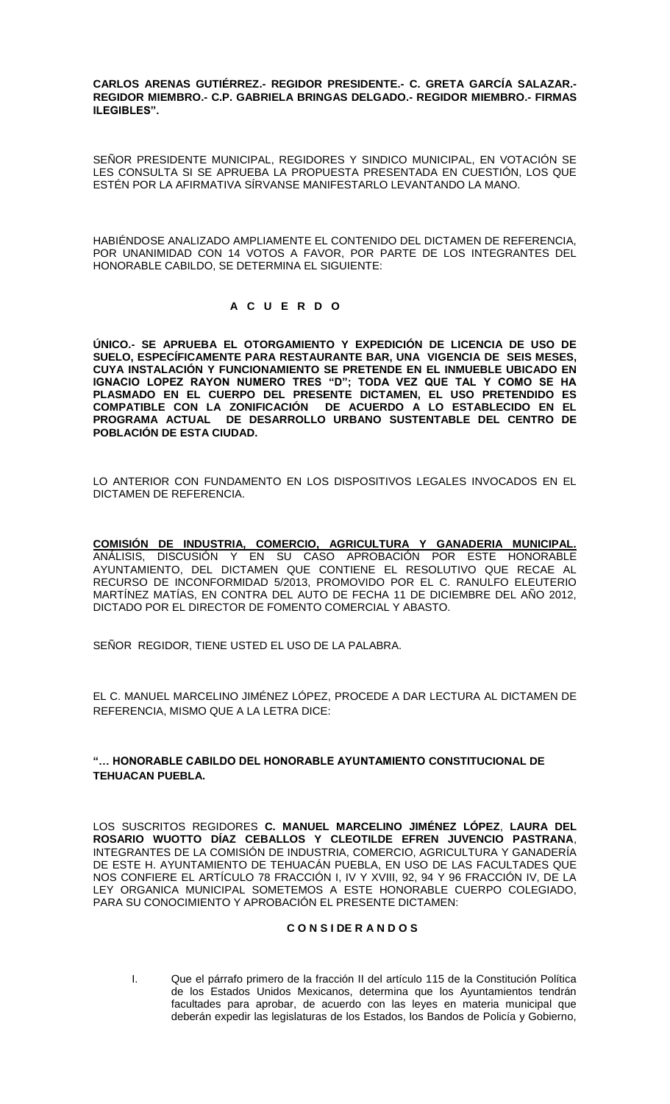**CARLOS ARENAS GUTIÉRREZ.- REGIDOR PRESIDENTE.- C. GRETA GARCÍA SALAZAR.- REGIDOR MIEMBRO.- C.P. GABRIELA BRINGAS DELGADO.- REGIDOR MIEMBRO.- FIRMAS ILEGIBLES".**

SEÑOR PRESIDENTE MUNICIPAL, REGIDORES Y SINDICO MUNICIPAL, EN VOTACIÓN SE LES CONSULTA SI SE APRUEBA LA PROPUESTA PRESENTADA EN CUESTIÓN, LOS QUE ESTÉN POR LA AFIRMATIVA SÍRVANSE MANIFESTARLO LEVANTANDO LA MANO.

HABIÉNDOSE ANALIZADO AMPLIAMENTE EL CONTENIDO DEL DICTAMEN DE REFERENCIA, POR UNANIMIDAD CON 14 VOTOS A FAVOR, POR PARTE DE LOS INTEGRANTES DEL HONORABLE CABILDO, SE DETERMINA EL SIGUIENTE:

### **A C U E R D O**

**ÚNICO.- SE APRUEBA EL OTORGAMIENTO Y EXPEDICIÓN DE LICENCIA DE USO DE SUELO, ESPECÍFICAMENTE PARA RESTAURANTE BAR, UNA VIGENCIA DE SEIS MESES, CUYA INSTALACIÓN Y FUNCIONAMIENTO SE PRETENDE EN EL INMUEBLE UBICADO EN IGNACIO LOPEZ RAYON NUMERO TRES "D"; TODA VEZ QUE TAL Y COMO SE HA PLASMADO EN EL CUERPO DEL PRESENTE DICTAMEN, EL USO PRETENDIDO ES COMPATIBLE CON LA ZONIFICACIÓN DE ACUERDO A LO ESTABLECIDO EN EL PROGRAMA ACTUAL DE DESARROLLO URBANO SUSTENTABLE DEL CENTRO DE POBLACIÓN DE ESTA CIUDAD.**

LO ANTERIOR CON FUNDAMENTO EN LOS DISPOSITIVOS LEGALES INVOCADOS EN EL DICTAMEN DE REFERENCIA.

<u>COMISION DE INDUSTRIA, COMERCIO, AGRICULTURA Y GANADERIA MUNICIPAL.</u> ANÁLISIS, DISCUSIÓN Y EN SU CASO APROBACIÓN POR ESTE HONORABLE AYUNTAMIENTO, DEL DICTAMEN QUE CONTIENE EL RESOLUTIVO QUE RECAE AL RECURSO DE INCONFORMIDAD 5/2013, PROMOVIDO POR EL C. RANULFO ELEUTERIO MARTÍNEZ MATÍAS, EN CONTRA DEL AUTO DE FECHA 11 DE DICIEMBRE DEL AÑO 2012, DICTADO POR EL DIRECTOR DE FOMENTO COMERCIAL Y ABASTO.

SEÑOR REGIDOR, TIENE USTED EL USO DE LA PALABRA.

EL C. MANUEL MARCELINO JIMÉNEZ LÓPEZ, PROCEDE A DAR LECTURA AL DICTAMEN DE REFERENCIA, MISMO QUE A LA LETRA DICE:

### **"… HONORABLE CABILDO DEL HONORABLE AYUNTAMIENTO CONSTITUCIONAL DE TEHUACAN PUEBLA.**

LOS SUSCRITOS REGIDORES **C. MANUEL MARCELINO JIMÉNEZ LÓPEZ**, **LAURA DEL ROSARIO WUOTTO DÍAZ CEBALLOS Y CLEOTILDE EFREN JUVENCIO PASTRANA**, INTEGRANTES DE LA COMISIÓN DE INDUSTRIA, COMERCIO, AGRICULTURA Y GANADERÍA DE ESTE H. AYUNTAMIENTO DE TEHUACÁN PUEBLA, EN USO DE LAS FACULTADES QUE NOS CONFIERE EL ARTÍCULO 78 FRACCIÓN I, IV Y XVIII, 92, 94 Y 96 FRACCIÓN IV, DE LA LEY ORGANICA MUNICIPAL SOMETEMOS A ESTE HONORABLE CUERPO COLEGIADO, PARA SU CONOCIMIENTO Y APROBACIÓN EL PRESENTE DICTAMEN:

### **C O N S I DE R A N D O S**

I. Que el párrafo primero de la fracción II del artículo 115 de la Constitución Política de los Estados Unidos Mexicanos, determina que los Ayuntamientos tendrán facultades para aprobar, de acuerdo con las leyes en materia municipal que deberán expedir las legislaturas de los Estados, los Bandos de Policía y Gobierno,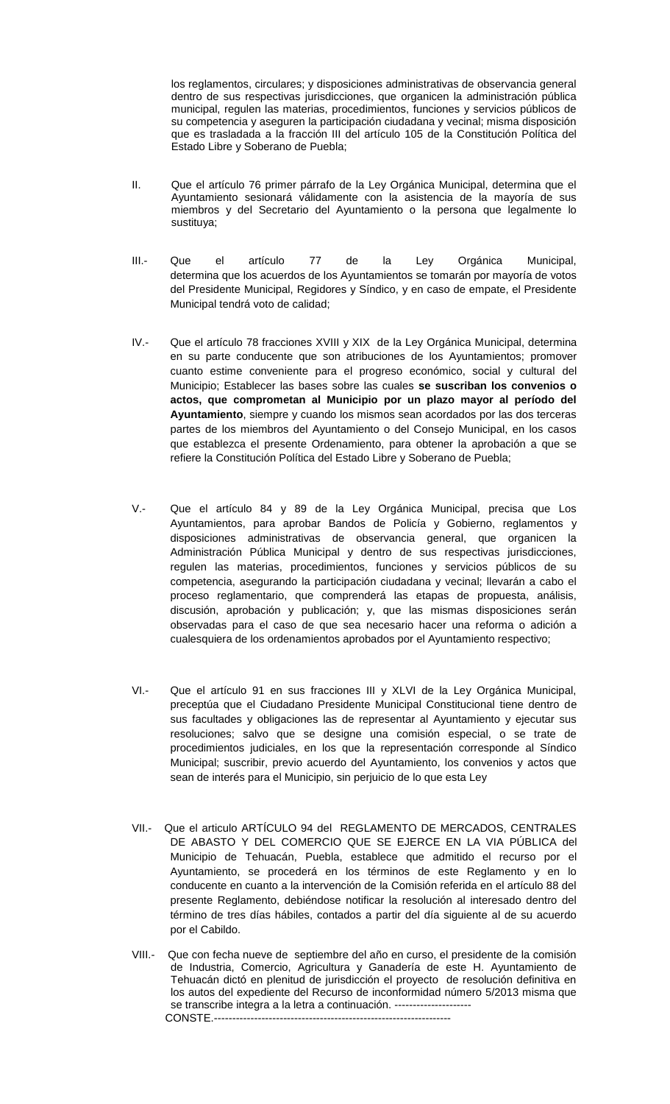los reglamentos, circulares; y disposiciones administrativas de observancia general dentro de sus respectivas jurisdicciones, que organicen la administración pública municipal, regulen las materias, procedimientos, funciones y servicios públicos de su competencia y aseguren la participación ciudadana y vecinal; misma disposición que es trasladada a la fracción III del artículo 105 de la Constitución Política del Estado Libre y Soberano de Puebla;

- II. Que el artículo 76 primer párrafo de la Ley Orgánica Municipal, determina que el Ayuntamiento sesionará válidamente con la asistencia de la mayoría de sus miembros y del Secretario del Ayuntamiento o la persona que legalmente lo sustituya;
- III.- Que el artículo 77 de la Ley Orgánica Municipal, determina que los acuerdos de los Ayuntamientos se tomarán por mayoría de votos del Presidente Municipal, Regidores y Síndico, y en caso de empate, el Presidente Municipal tendrá voto de calidad;
- IV.- Que el artículo 78 fracciones XVIII y XIX de la Ley Orgánica Municipal, determina en su parte conducente que son atribuciones de los Ayuntamientos; promover cuanto estime conveniente para el progreso económico, social y cultural del Municipio; Establecer las bases sobre las cuales **se suscriban los convenios o actos, que comprometan al Municipio por un plazo mayor al período del Ayuntamiento**, siempre y cuando los mismos sean acordados por las dos terceras partes de los miembros del Ayuntamiento o del Consejo Municipal, en los casos que establezca el presente Ordenamiento, para obtener la aprobación a que se refiere la Constitución Política del Estado Libre y Soberano de Puebla;
- V.- Que el artículo 84 y 89 de la Ley Orgánica Municipal, precisa que Los Ayuntamientos, para aprobar Bandos de Policía y Gobierno, reglamentos y disposiciones administrativas de observancia general, que organicen la Administración Pública Municipal y dentro de sus respectivas jurisdicciones, regulen las materias, procedimientos, funciones y servicios públicos de su competencia, asegurando la participación ciudadana y vecinal; llevarán a cabo el proceso reglamentario, que comprenderá las etapas de propuesta, análisis, discusión, aprobación y publicación; y, que las mismas disposiciones serán observadas para el caso de que sea necesario hacer una reforma o adición a cualesquiera de los ordenamientos aprobados por el Ayuntamiento respectivo;
- VI.- Que el artículo 91 en sus fracciones III y XLVI de la Ley Orgánica Municipal, preceptúa que el Ciudadano Presidente Municipal Constitucional tiene dentro de sus facultades y obligaciones las de representar al Ayuntamiento y ejecutar sus resoluciones; salvo que se designe una comisión especial, o se trate de procedimientos judiciales, en los que la representación corresponde al Síndico Municipal; suscribir, previo acuerdo del Ayuntamiento, los convenios y actos que sean de interés para el Municipio, sin perjuicio de lo que esta Ley
- VII.- Que el articulo ARTÍCULO 94 del REGLAMENTO DE MERCADOS, CENTRALES DE ABASTO Y DEL COMERCIO QUE SE EJERCE EN LA VIA PÚBLICA del Municipio de Tehuacán, Puebla, establece que admitido el recurso por el Ayuntamiento, se procederá en los términos de este Reglamento y en lo conducente en cuanto a la intervención de la Comisión referida en el artículo 88 del presente Reglamento, debiéndose notificar la resolución al interesado dentro del término de tres días hábiles, contados a partir del día siguiente al de su acuerdo por el Cabildo.
- VIII.- Que con fecha nueve de septiembre del año en curso, el presidente de la comisión de Industria, Comercio, Agricultura y Ganadería de este H. Ayuntamiento de Tehuacán dictó en plenitud de jurisdicción el proyecto de resolución definitiva en los autos del expediente del Recurso de inconformidad número 5/2013 misma que se transcribe integra a la letra a continuación. --------------------- CONSTE.-----------------------------------------------------------------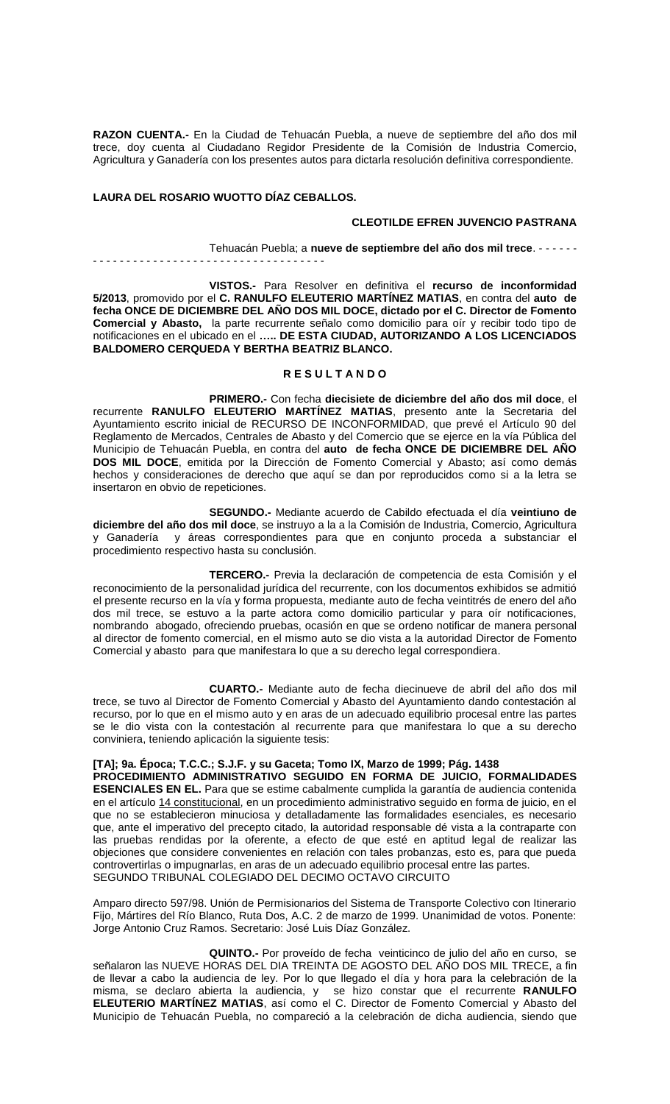**RAZON CUENTA.-** En la Ciudad de Tehuacán Puebla, a nueve de septiembre del año dos mil trece, doy cuenta al Ciudadano Regidor Presidente de la Comisión de Industria Comercio, Agricultura y Ganadería con los presentes autos para dictarla resolución definitiva correspondiente.

### **LAURA DEL ROSARIO WUOTTO DÍAZ CEBALLOS.**

### **CLEOTILDE EFREN JUVENCIO PASTRANA**

Tehuacán Puebla; a **nueve de septiembre del año dos mil trece**. - - - - - - - - - - - - - - - - - - - - - - - - - - - - - - - - - - - - - - - - -

**VISTOS.-** Para Resolver en definitiva el **recurso de inconformidad 5/2013**, promovido por el **C. RANULFO ELEUTERIO MARTÍNEZ MATIAS**, en contra del **auto de fecha ONCE DE DICIEMBRE DEL AÑO DOS MIL DOCE, dictado por el C. Director de Fomento Comercial y Abasto,** la parte recurrente señalo como domicilio para oír y recibir todo tipo de notificaciones en el ubicado en el **….. DE ESTA CIUDAD, AUTORIZANDO A LOS LICENCIADOS BALDOMERO CERQUEDA Y BERTHA BEATRIZ BLANCO.**

#### **R E S U L T A N D O**

**PRIMERO.-** Con fecha **diecisiete de diciembre del año dos mil doce**, el recurrente **RANULFO ELEUTERIO MARTÍNEZ MATIAS**, presento ante la Secretaria del Ayuntamiento escrito inicial de RECURSO DE INCONFORMIDAD, que prevé el Artículo 90 del Reglamento de Mercados, Centrales de Abasto y del Comercio que se ejerce en la vía Pública del Municipio de Tehuacán Puebla, en contra del **auto de fecha ONCE DE DICIEMBRE DEL AÑO DOS MIL DOCE**, emitida por la Dirección de Fomento Comercial y Abasto; así como demás hechos y consideraciones de derecho que aquí se dan por reproducidos como si a la letra se insertaron en obvio de repeticiones.

**SEGUNDO.-** Mediante acuerdo de Cabildo efectuada el día **veintiuno de diciembre del año dos mil doce**, se instruyo a la a la Comisión de Industria, Comercio, Agricultura y Ganadería y áreas correspondientes para que en conjunto proceda a substanciar el procedimiento respectivo hasta su conclusión.

**TERCERO.-** Previa la declaración de competencia de esta Comisión y el reconocimiento de la personalidad jurídica del recurrente, con los documentos exhibidos se admitió el presente recurso en la vía y forma propuesta, mediante auto de fecha veintitrés de enero del año dos mil trece, se estuvo a la parte actora como domicilio particular y para oír notificaciones, nombrando abogado, ofreciendo pruebas, ocasión en que se ordeno notificar de manera personal al director de fomento comercial, en el mismo auto se dio vista a la autoridad Director de Fomento Comercial y abasto para que manifestara lo que a su derecho legal correspondiera.

**CUARTO.-** Mediante auto de fecha diecinueve de abril del año dos mil trece, se tuvo al Director de Fomento Comercial y Abasto del Ayuntamiento dando contestación al recurso, por lo que en el mismo auto y en aras de un adecuado equilibrio procesal entre las partes se le dio vista con la contestación al recurrente para que manifestara lo que a su derecho conviniera, teniendo aplicación la siguiente tesis:

### **[TA]; 9a. Época; T.C.C.; S.J.F. y su Gaceta; Tomo IX, Marzo de 1999; Pág. 1438**

**PROCEDIMIENTO ADMINISTRATIVO SEGUIDO EN FORMA DE JUICIO, FORMALIDADES ESENCIALES EN EL.** Para que se estime cabalmente cumplida la garantía de audiencia contenida en el artículo [14 constitucional,](javascript:AbrirModal(1)) en un procedimiento administrativo seguido en forma de juicio, en el que no se establecieron minuciosa y detalladamente las formalidades esenciales, es necesario que, ante el imperativo del precepto citado, la autoridad responsable dé vista a la contraparte con las pruebas rendidas por la oferente, a efecto de que esté en aptitud legal de realizar las objeciones que considere convenientes en relación con tales probanzas, esto es, para que pueda controvertirlas o impugnarlas, en aras de un adecuado equilibrio procesal entre las partes. SEGUNDO TRIBUNAL COLEGIADO DEL DECIMO OCTAVO CIRCUITO

Amparo directo 597/98. Unión de Permisionarios del Sistema de Transporte Colectivo con Itinerario Fijo, Mártires del Río Blanco, Ruta Dos, A.C. 2 de marzo de 1999. Unanimidad de votos. Ponente: Jorge Antonio Cruz Ramos. Secretario: José Luis Díaz González.

**QUINTO.-** Por proveído de fecha veinticinco de julio del año en curso, se señalaron las NUEVE HORAS DEL DIA TREINTA DE AGOSTO DEL AÑO DOS MIL TRECE, a fin de llevar a cabo la audiencia de ley. Por lo que llegado el día y hora para la celebración de la misma, se declaro abierta la audiencia, y se hizo constar que el recurrente **RANULFO ELEUTERIO MARTÍNEZ MATIAS**, así como el C. Director de Fomento Comercial y Abasto del Municipio de Tehuacán Puebla, no compareció a la celebración de dicha audiencia, siendo que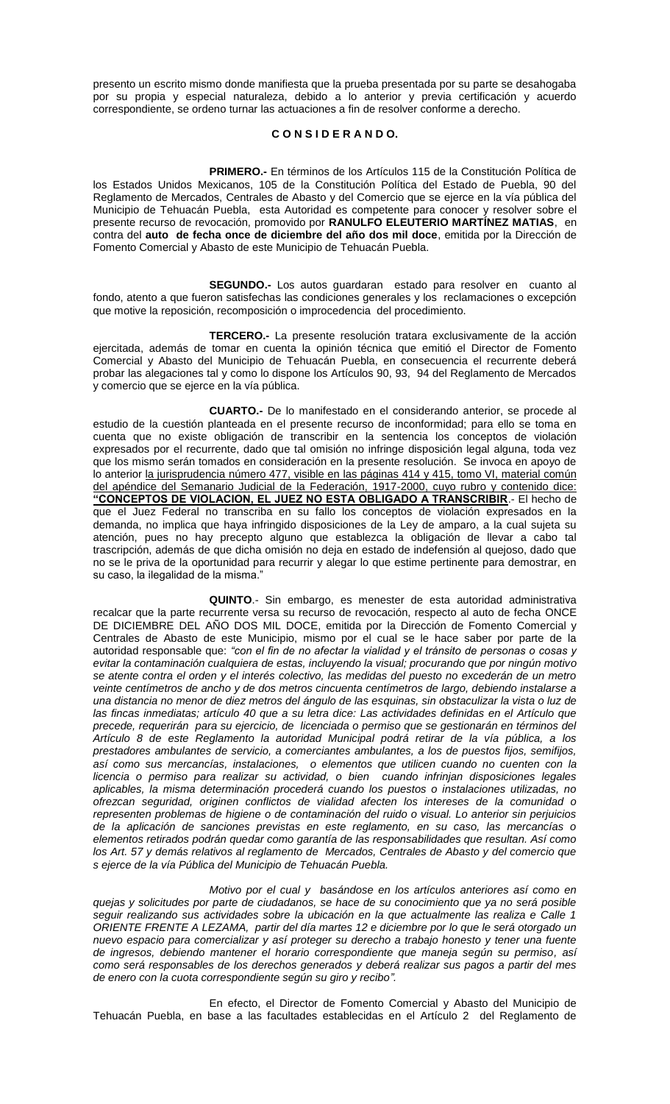presento un escrito mismo donde manifiesta que la prueba presentada por su parte se desahogaba por su propia y especial naturaleza, debido a lo anterior y previa certificación y acuerdo correspondiente, se ordeno turnar las actuaciones a fin de resolver conforme a derecho.

### **C O N S I D E R A N D O.**

**PRIMERO.-** En términos de los Artículos 115 de la Constitución Política de los Estados Unidos Mexicanos, 105 de la Constitución Política del Estado de Puebla, 90 del Reglamento de Mercados, Centrales de Abasto y del Comercio que se ejerce en la vía pública del Municipio de Tehuacán Puebla, esta Autoridad es competente para conocer y resolver sobre el presente recurso de revocación, promovido por **RANULFO ELEUTERIO MARTÍNEZ MATIAS**, en contra del **auto de fecha once de diciembre del año dos mil doce**, emitida por la Dirección de Fomento Comercial y Abasto de este Municipio de Tehuacán Puebla.

**SEGUNDO.-** Los autos guardaran estado para resolver en cuanto al fondo, atento a que fueron satisfechas las condiciones generales y los reclamaciones o excepción que motive la reposición, recomposición o improcedencia del procedimiento.

**TERCERO.-** La presente resolución tratara exclusivamente de la acción ejercitada, además de tomar en cuenta la opinión técnica que emitió el Director de Fomento Comercial y Abasto del Municipio de Tehuacán Puebla, en consecuencia el recurrente deberá probar las alegaciones tal y como lo dispone los Artículos 90, 93, 94 del Reglamento de Mercados y comercio que se ejerce en la vía pública.

**CUARTO.-** De lo manifestado en el considerando anterior, se procede al estudio de la cuestión planteada en el presente recurso de inconformidad; para ello se toma en cuenta que no existe obligación de transcribir en la sentencia los conceptos de violación expresados por el recurrente, dado que tal omisión no infringe disposición legal alguna, toda vez que los mismo serán tomados en consideración en la presente resolución. Se invoca en apoyo de lo anterior la jurisprudencia número 477, visible en las páginas 414 y 415, tomo VI, material común del apéndice del Semanario Judicial de la Federación, 1917-2000, cuyo rubro y contenido dice: **"CONCEPTOS DE VIOLACION, EL JUEZ NO ESTA OBLIGADO A TRANSCRIBIR**.- El hecho de que el Juez Federal no transcriba en su fallo los conceptos de violación expresados en la demanda, no implica que haya infringido disposiciones de la Ley de amparo, a la cual sujeta su atención, pues no hay precepto alguno que establezca la obligación de llevar a cabo tal trascripción, además de que dicha omisión no deja en estado de indefensión al quejoso, dado que no se le priva de la oportunidad para recurrir y alegar lo que estime pertinente para demostrar, en su caso, la ilegalidad de la misma."

**QUINTO**.- Sin embargo, es menester de esta autoridad administrativa recalcar que la parte recurrente versa su recurso de revocación, respecto al auto de fecha ONCE DE DICIEMBRE DEL AÑO DOS MIL DOCE, emitida por la Dirección de Fomento Comercial y Centrales de Abasto de este Municipio, mismo por el cual se le hace saber por parte de la autoridad responsable que: *"con el fin de no afectar la vialidad y el tránsito de personas o cosas y evitar la contaminación cualquiera de estas, incluyendo la visual; procurando que por ningún motivo se atente contra el orden y el interés colectivo, las medidas del puesto no excederán de un metro veinte centímetros de ancho y de dos metros cincuenta centímetros de largo, debiendo instalarse a una distancia no menor de diez metros del ángulo de las esquinas, sin obstaculizar la vista o luz de las fincas inmediatas; artículo 40 que a su letra dice: Las actividades definidas en el Artículo que precede, requerirán para su ejercicio, de licenciada o permiso que se gestionarán en términos del Artículo 8 de este Reglamento la autoridad Municipal podrá retirar de la vía pública, a los prestadores ambulantes de servicio, a comerciantes ambulantes, a los de puestos fijos, semifijos, así como sus mercancías, instalaciones, o elementos que utilicen cuando no cuenten con la licencia o permiso para realizar su actividad, o bien cuando infrinjan disposiciones legales aplicables, la misma determinación procederá cuando los puestos o instalaciones utilizadas, no ofrezcan seguridad, originen conflictos de vialidad afecten los intereses de la comunidad o representen problemas de higiene o de contaminación del ruido o visual. Lo anterior sin perjuicios de la aplicación de sanciones previstas en este reglamento, en su caso, las mercancías o elementos retirados podrán quedar como garantía de las responsabilidades que resultan. Así como los Art. 57 y demás relativos al reglamento de Mercados, Centrales de Abasto y del comercio que s ejerce de la vía Pública del Municipio de Tehuacán Puebla.*

*Motivo por el cual y basándose en los artículos anteriores así como en quejas y solicitudes por parte de ciudadanos, se hace de su conocimiento que ya no será posible seguir realizando sus actividades sobre la ubicación en la que actualmente las realiza e Calle 1 ORIENTE FRENTE A LEZAMA, partir del día martes 12 e diciembre por lo que le será otorgado un nuevo espacio para comercializar y así proteger su derecho a trabajo honesto y tener una fuente de ingresos, debiendo mantener el horario correspondiente que maneja según su permiso, así como será responsables de los derechos generados y deberá realizar sus pagos a partir del mes de enero con la cuota correspondiente según su giro y recibo".*

En efecto, el Director de Fomento Comercial y Abasto del Municipio de Tehuacán Puebla, en base a las facultades establecidas en el Artículo 2 del Reglamento de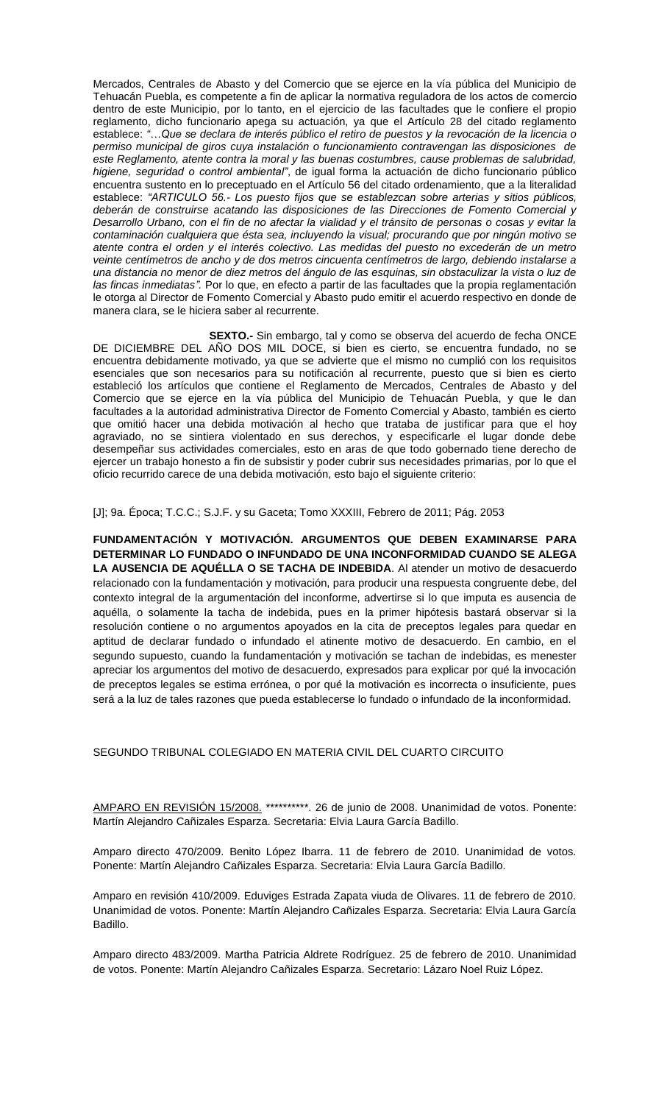Mercados, Centrales de Abasto y del Comercio que se ejerce en la vía pública del Municipio de Tehuacán Puebla, es competente a fin de aplicar la normativa reguladora de los actos de comercio dentro de este Municipio, por lo tanto, en el ejercicio de las facultades que le confiere el propio reglamento, dicho funcionario apega su actuación, ya que el Artículo 28 del citado reglamento establece: *"…Que se declara de interés público el retiro de puestos y la revocación de la licencia o permiso municipal de giros cuya instalación o funcionamiento contravengan las disposiciones de este Reglamento, atente contra la moral y las buenas costumbres, cause problemas de salubridad, higiene, seguridad o control ambiental"*, de igual forma la actuación de dicho funcionario público encuentra sustento en lo preceptuado en el Artículo 56 del citado ordenamiento, que a la literalidad establece: *"ARTICULO 56.- Los puesto fijos que se establezcan sobre arterias y sitios públicos, deberán de construirse acatando las disposiciones de las Direcciones de Fomento Comercial y Desarrollo Urbano, con el fin de no afectar la vialidad y el tránsito de personas o cosas y evitar la contaminación cualquiera que ésta sea, incluyendo la visual; procurando que por ningún motivo se atente contra el orden y el interés colectivo. Las medidas del puesto no excederán de un metro veinte centímetros de ancho y de dos metros cincuenta centímetros de largo, debiendo instalarse a una distancia no menor de diez metros del ángulo de las esquinas, sin obstaculizar la vista o luz de las fincas inmediatas".* Por lo que, en efecto a partir de las facultades que la propia reglamentación le otorga al Director de Fomento Comercial y Abasto pudo emitir el acuerdo respectivo en donde de manera clara, se le hiciera saber al recurrente.

**SEXTO.-** Sin embargo, tal y como se observa del acuerdo de fecha ONCE DE DICIEMBRE DEL AÑO DOS MIL DOCE, si bien es cierto, se encuentra fundado, no se encuentra debidamente motivado, ya que se advierte que el mismo no cumplió con los requisitos esenciales que son necesarios para su notificación al recurrente, puesto que si bien es cierto estableció los artículos que contiene el Reglamento de Mercados, Centrales de Abasto y del Comercio que se ejerce en la vía pública del Municipio de Tehuacán Puebla, y que le dan facultades a la autoridad administrativa Director de Fomento Comercial y Abasto, también es cierto que omitió hacer una debida motivación al hecho que trataba de justificar para que el hoy agraviado, no se sintiera violentado en sus derechos, y especificarle el lugar donde debe desempeñar sus actividades comerciales, esto en aras de que todo gobernado tiene derecho de ejercer un trabajo honesto a fin de subsistir y poder cubrir sus necesidades primarias, por lo que el oficio recurrido carece de una debida motivación, esto bajo el siguiente criterio:

[J]; 9a. Época; T.C.C.; S.J.F. y su Gaceta; Tomo XXXIII, Febrero de 2011; Pág. 2053

**FUNDAMENTACIÓN Y MOTIVACIÓN. ARGUMENTOS QUE DEBEN EXAMINARSE PARA DETERMINAR LO FUNDADO O INFUNDADO DE UNA INCONFORMIDAD CUANDO SE ALEGA LA AUSENCIA DE AQUÉLLA O SE TACHA DE INDEBIDA**. Al atender un motivo de desacuerdo relacionado con la fundamentación y motivación, para producir una respuesta congruente debe, del contexto integral de la argumentación del inconforme, advertirse si lo que imputa es ausencia de aquélla, o solamente la tacha de indebida, pues en la primer hipótesis bastará observar si la resolución contiene o no argumentos apoyados en la cita de preceptos legales para quedar en aptitud de declarar fundado o infundado el atinente motivo de desacuerdo. En cambio, en el segundo supuesto, cuando la fundamentación y motivación se tachan de indebidas, es menester apreciar los argumentos del motivo de desacuerdo, expresados para explicar por qué la invocación de preceptos legales se estima errónea, o por qué la motivación es incorrecta o insuficiente, pues será a la luz de tales razones que pueda establecerse lo fundado o infundado de la inconformidad.

# SEGUNDO TRIBUNAL COLEGIADO EN MATERIA CIVIL DEL CUARTO CIRCUITO

[AMPARO EN REVISIÓN 15/2008.](http://ius.scjn.gob.mx/paginas/DetalleGeneralV2.aspx?id=22678&Clase=DetalleTesisEjecutorias) \*\*\*\*\*\*\*\*\*\*. 26 de junio de 2008. Unanimidad de votos. Ponente: Martín Alejandro Cañizales Esparza. Secretaria: Elvia Laura García Badillo.

Amparo directo 470/2009. Benito López Ibarra. 11 de febrero de 2010. Unanimidad de votos. Ponente: Martín Alejandro Cañizales Esparza. Secretaria: Elvia Laura García Badillo.

Amparo en revisión 410/2009. Eduviges Estrada Zapata viuda de Olivares. 11 de febrero de 2010. Unanimidad de votos. Ponente: Martín Alejandro Cañizales Esparza. Secretaria: Elvia Laura García Badillo.

Amparo directo 483/2009. Martha Patricia Aldrete Rodríguez. 25 de febrero de 2010. Unanimidad de votos. Ponente: Martín Alejandro Cañizales Esparza. Secretario: Lázaro Noel Ruiz López.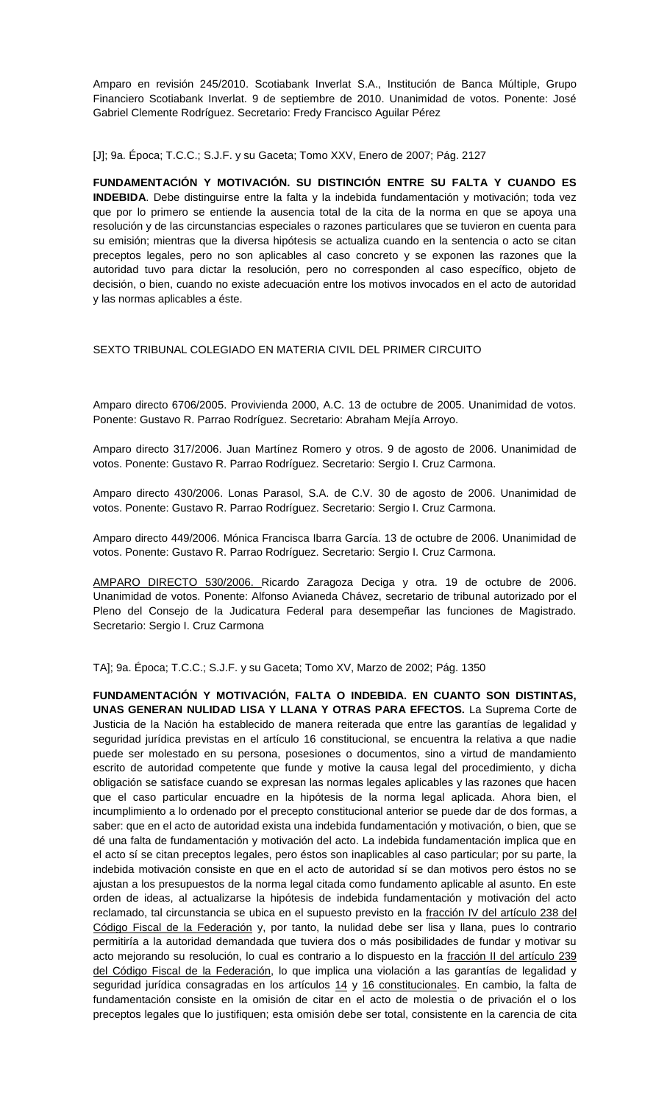Amparo en revisión 245/2010. Scotiabank Inverlat S.A., Institución de Banca Múltiple, Grupo Financiero Scotiabank Inverlat. 9 de septiembre de 2010. Unanimidad de votos. Ponente: José Gabriel Clemente Rodríguez. Secretario: Fredy Francisco Aguilar Pérez

[J]; 9a. Época; T.C.C.; S.J.F. y su Gaceta; Tomo XXV, Enero de 2007; Pág. 2127

**FUNDAMENTACIÓN Y MOTIVACIÓN. SU DISTINCIÓN ENTRE SU FALTA Y CUANDO ES INDEBIDA**. Debe distinguirse entre la falta y la indebida fundamentación y motivación; toda vez que por lo primero se entiende la ausencia total de la cita de la norma en que se apoya una resolución y de las circunstancias especiales o razones particulares que se tuvieron en cuenta para su emisión; mientras que la diversa hipótesis se actualiza cuando en la sentencia o acto se citan preceptos legales, pero no son aplicables al caso concreto y se exponen las razones que la autoridad tuvo para dictar la resolución, pero no corresponden al caso específico, objeto de decisión, o bien, cuando no existe adecuación entre los motivos invocados en el acto de autoridad y las normas aplicables a éste.

### SEXTO TRIBUNAL COLEGIADO EN MATERIA CIVIL DEL PRIMER CIRCUITO

Amparo directo 6706/2005. Provivienda 2000, A.C. 13 de octubre de 2005. Unanimidad de votos. Ponente: Gustavo R. Parrao Rodríguez. Secretario: Abraham Mejía Arroyo.

Amparo directo 317/2006. Juan Martínez Romero y otros. 9 de agosto de 2006. Unanimidad de votos. Ponente: Gustavo R. Parrao Rodríguez. Secretario: Sergio I. Cruz Carmona.

Amparo directo 430/2006. Lonas Parasol, S.A. de C.V. 30 de agosto de 2006. Unanimidad de votos. Ponente: Gustavo R. Parrao Rodríguez. Secretario: Sergio I. Cruz Carmona.

Amparo directo 449/2006. Mónica Francisca Ibarra García. 13 de octubre de 2006. Unanimidad de votos. Ponente: Gustavo R. Parrao Rodríguez. Secretario: Sergio I. Cruz Carmona.

[AMPARO DIRECTO 530/2006. R](http://ius.scjn.gob.mx/paginas/DetalleGeneralV2.aspx?id=19877&Clase=DetalleTesisEjecutorias)icardo Zaragoza Deciga y otra. 19 de octubre de 2006. Unanimidad de votos. Ponente: Alfonso Avianeda Chávez, secretario de tribunal autorizado por el Pleno del Consejo de la Judicatura Federal para desempeñar las funciones de Magistrado. Secretario: Sergio I. Cruz Carmona

TA]; 9a. Época; T.C.C.; S.J.F. y su Gaceta; Tomo XV, Marzo de 2002; Pág. 1350

**FUNDAMENTACIÓN Y MOTIVACIÓN, FALTA O INDEBIDA. EN CUANTO SON DISTINTAS, UNAS GENERAN NULIDAD LISA Y LLANA Y OTRAS PARA EFECTOS.** La Suprema Corte de Justicia de la Nación ha establecido de manera reiterada que entre las garantías de legalidad y seguridad jurídica previstas en el artículo 16 constitucional, se encuentra la relativa a que nadie puede ser molestado en su persona, posesiones o documentos, sino a virtud de mandamiento escrito de autoridad competente que funde y motive la causa legal del procedimiento, y dicha obligación se satisface cuando se expresan las normas legales aplicables y las razones que hacen que el caso particular encuadre en la hipótesis de la norma legal aplicada. Ahora bien, el incumplimiento a lo ordenado por el precepto constitucional anterior se puede dar de dos formas, a saber: que en el acto de autoridad exista una indebida fundamentación y motivación, o bien, que se dé una falta de fundamentación y motivación del acto. La indebida fundamentación implica que en el acto sí se citan preceptos legales, pero éstos son inaplicables al caso particular; por su parte, la indebida motivación consiste en que en el acto de autoridad sí se dan motivos pero éstos no se ajustan a los presupuestos de la norma legal citada como fundamento aplicable al asunto. En este orden de ideas, al actualizarse la hipótesis de indebida fundamentación y motivación del acto reclamado, tal circunstancia se ubica en el supuesto previsto en la [fracción IV del artículo 238 del](javascript:AbrirModal(2))  [Código Fiscal de la Federación](javascript:AbrirModal(2)) y, por tanto, la nulidad debe ser lisa y llana, pues lo contrario permitiría a la autoridad demandada que tuviera dos o más posibilidades de fundar y motivar su acto mejorando su resolución, lo cual es contrario a lo dispuesto en la fracción II del artículo 239 [del Código Fiscal de la Federación,](javascript:AbrirModal(3)) lo que implica una violación a las garantías de legalidad y seguridad jurídica consagradas en los artículos [14](javascript:AbrirModal(4)) y [16 constitucionales.](javascript:AbrirModal(5)) En cambio, la falta de fundamentación consiste en la omisión de citar en el acto de molestia o de privación el o los preceptos legales que lo justifiquen; esta omisión debe ser total, consistente en la carencia de cita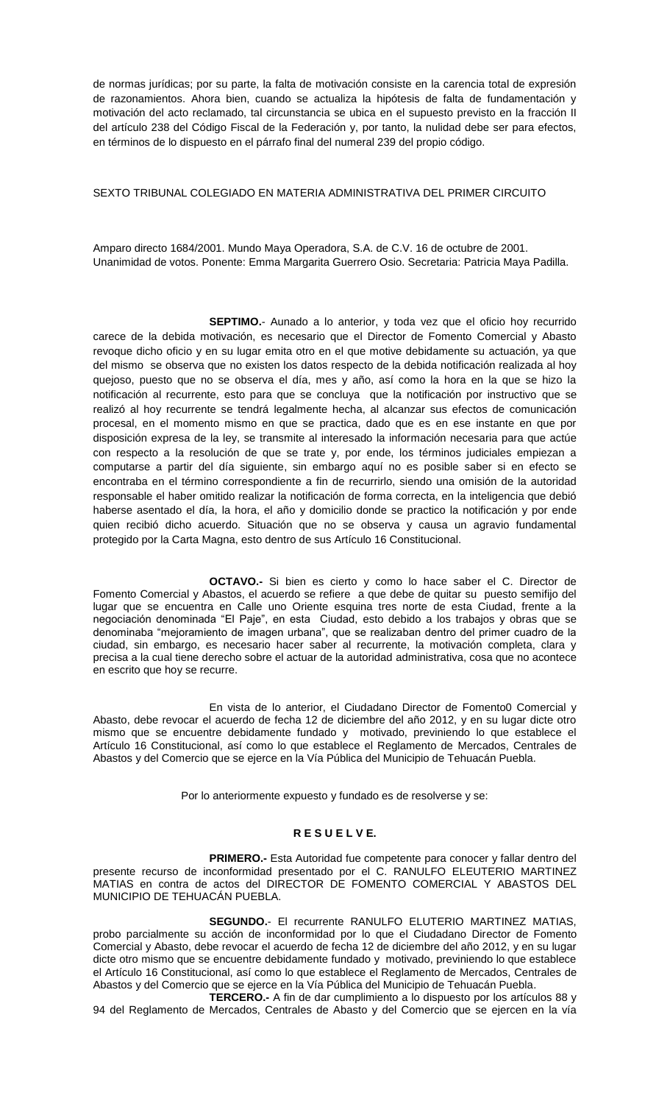de normas jurídicas; por su parte, la falta de motivación consiste en la carencia total de expresión de razonamientos. Ahora bien, cuando se actualiza la hipótesis de falta de fundamentación y motivación del acto reclamado, tal circunstancia se ubica en el supuesto previsto en la fracción II del artículo 238 del Código Fiscal de la Federación y, por tanto, la nulidad debe ser para efectos, en términos de lo dispuesto en el párrafo final del numeral 239 del propio código.

### SEXTO TRIBUNAL COLEGIADO EN MATERIA ADMINISTRATIVA DEL PRIMER CIRCUITO

Amparo directo 1684/2001. Mundo Maya Operadora, S.A. de C.V. 16 de octubre de 2001. Unanimidad de votos. Ponente: Emma Margarita Guerrero Osio. Secretaria: Patricia Maya Padilla.

**SEPTIMO.**- Aunado a lo anterior, y toda vez que el oficio hoy recurrido carece de la debida motivación, es necesario que el Director de Fomento Comercial y Abasto revoque dicho oficio y en su lugar emita otro en el que motive debidamente su actuación, ya que del mismo se observa que no existen los datos respecto de la debida notificación realizada al hoy quejoso, puesto que no se observa el día, mes y año, así como la hora en la que se hizo la notificación al recurrente, esto para que se concluya que la notificación por instructivo que se realizó al hoy recurrente se tendrá legalmente hecha, al alcanzar sus efectos de comunicación procesal, en el momento mismo en que se practica, dado que es en ese instante en que por disposición expresa de la ley, se transmite al interesado la información necesaria para que actúe con respecto a la resolución de que se trate y, por ende, los términos judiciales empiezan a computarse a partir del día siguiente, sin embargo aquí no es posible saber si en efecto se encontraba en el término correspondiente a fin de recurrirlo, siendo una omisión de la autoridad responsable el haber omitido realizar la notificación de forma correcta, en la inteligencia que debió haberse asentado el día, la hora, el año y domicilio donde se practico la notificación y por ende quien recibió dicho acuerdo. Situación que no se observa y causa un agravio fundamental protegido por la Carta Magna, esto dentro de sus Artículo 16 Constitucional.

**OCTAVO.-** Si bien es cierto y como lo hace saber el C. Director de Fomento Comercial y Abastos, el acuerdo se refiere a que debe de quitar su puesto semifijo del lugar que se encuentra en Calle uno Oriente esquina tres norte de esta Ciudad, frente a la negociación denominada "El Paje", en esta Ciudad, esto debido a los trabajos y obras que se denominaba "mejoramiento de imagen urbana", que se realizaban dentro del primer cuadro de la ciudad, sin embargo, es necesario hacer saber al recurrente, la motivación completa, clara y precisa a la cual tiene derecho sobre el actuar de la autoridad administrativa, cosa que no acontece en escrito que hoy se recurre.

En vista de lo anterior, el Ciudadano Director de Fomento0 Comercial y Abasto, debe revocar el acuerdo de fecha 12 de diciembre del año 2012, y en su lugar dicte otro mismo que se encuentre debidamente fundado y motivado, previniendo lo que establece el Artículo 16 Constitucional, así como lo que establece el Reglamento de Mercados, Centrales de Abastos y del Comercio que se ejerce en la Vía Pública del Municipio de Tehuacán Puebla.

Por lo anteriormente expuesto y fundado es de resolverse y se:

## **R E S U E L V E.**

**PRIMERO.-** Esta Autoridad fue competente para conocer y fallar dentro del presente recurso de inconformidad presentado por el C. RANULFO ELEUTERIO MARTINEZ MATIAS en contra de actos del DIRECTOR DE FOMENTO COMERCIAL Y ABASTOS DEL MUNICIPIO DE TEHUACÁN PUEBLA.

**SEGUNDO.**- El recurrente RANULFO ELUTERIO MARTINEZ MATIAS, probo parcialmente su acción de inconformidad por lo que el Ciudadano Director de Fomento Comercial y Abasto, debe revocar el acuerdo de fecha 12 de diciembre del año 2012, y en su lugar dicte otro mismo que se encuentre debidamente fundado y motivado, previniendo lo que establece el Artículo 16 Constitucional, así como lo que establece el Reglamento de Mercados, Centrales de Abastos y del Comercio que se ejerce en la Vía Pública del Municipio de Tehuacán Puebla.

**TERCERO.-** A fin de dar cumplimiento a lo dispuesto por los artículos 88 y 94 del Reglamento de Mercados, Centrales de Abasto y del Comercio que se ejercen en la vía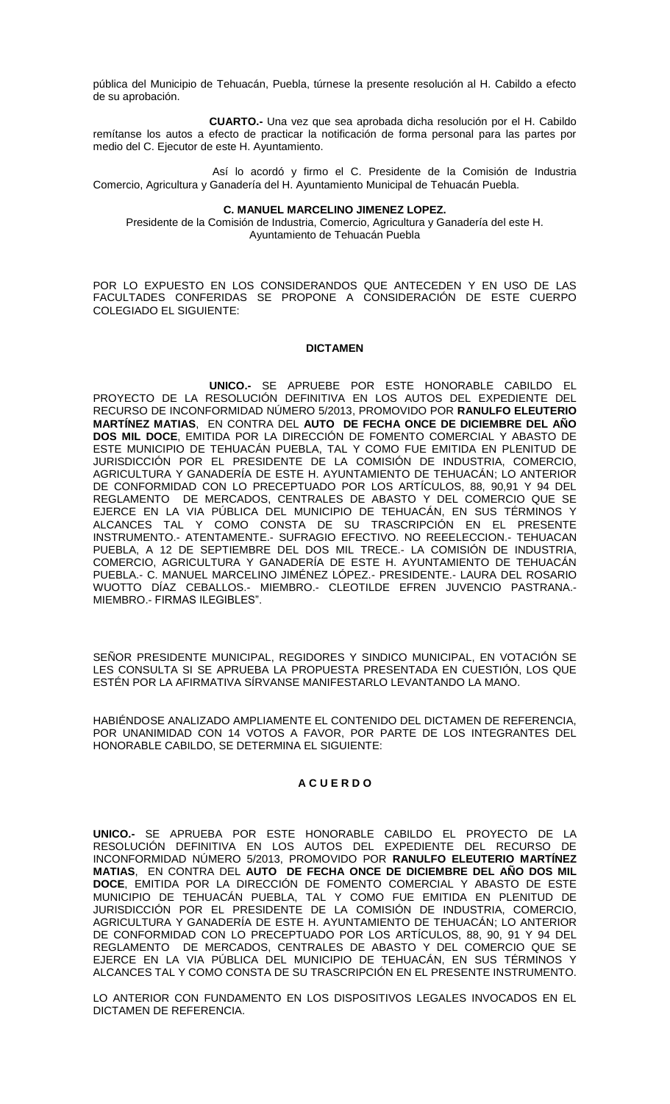pública del Municipio de Tehuacán, Puebla, túrnese la presente resolución al H. Cabildo a efecto de su aprobación.

**CUARTO.-** Una vez que sea aprobada dicha resolución por el H. Cabildo remítanse los autos a efecto de practicar la notificación de forma personal para las partes por medio del C. Ejecutor de este H. Ayuntamiento.

Así lo acordó y firmo el C. Presidente de la Comisión de Industria Comercio, Agricultura y Ganadería del H. Ayuntamiento Municipal de Tehuacán Puebla.

#### **C. MANUEL MARCELINO JIMENEZ LOPEZ.**

Presidente de la Comisión de Industria, Comercio, Agricultura y Ganadería del este H. Ayuntamiento de Tehuacán Puebla

POR LO EXPUESTO EN LOS CONSIDERANDOS QUE ANTECEDEN Y EN USO DE LAS FACULTADES CONFERIDAS SE PROPONE A CONSIDERACIÓN DE ESTE CUERPO COLEGIADO EL SIGUIENTE:

#### **DICTAMEN**

**UNICO.-** SE APRUEBE POR ESTE HONORABLE CABILDO EL PROYECTO DE LA RESOLUCIÓN DEFINITIVA EN LOS AUTOS DEL EXPEDIENTE DEL RECURSO DE INCONFORMIDAD NÚMERO 5/2013, PROMOVIDO POR **RANULFO ELEUTERIO MARTÍNEZ MATIAS**, EN CONTRA DEL **AUTO DE FECHA ONCE DE DICIEMBRE DEL AÑO DOS MIL DOCE**, EMITIDA POR LA DIRECCIÓN DE FOMENTO COMERCIAL Y ABASTO DE ESTE MUNICIPIO DE TEHUACÁN PUEBLA, TAL Y COMO FUE EMITIDA EN PLENITUD DE JURISDICCIÓN POR EL PRESIDENTE DE LA COMISIÓN DE INDUSTRIA, COMERCIO, AGRICULTURA Y GANADERÍA DE ESTE H. AYUNTAMIENTO DE TEHUACÁN; LO ANTERIOR DE CONFORMIDAD CON LO PRECEPTUADO POR LOS ARTÍCULOS, 88, 90,91 Y 94 DEL REGLAMENTO DE MERCADOS, CENTRALES DE ABASTO Y DEL COMERCIO QUE SE EJERCE EN LA VIA PÚBLICA DEL MUNICIPIO DE TEHUACÁN, EN SUS TÉRMINOS Y ALCANCES TAL Y COMO CONSTA DE SU TRASCRIPCIÓN EN EL PRESENTE INSTRUMENTO.- ATENTAMENTE.- SUFRAGIO EFECTIVO. NO REEELECCION.- TEHUACAN PUEBLA, A 12 DE SEPTIEMBRE DEL DOS MIL TRECE.- LA COMISIÓN DE INDUSTRIA, COMERCIO, AGRICULTURA Y GANADERÍA DE ESTE H. AYUNTAMIENTO DE TEHUACÁN PUEBLA.- C. MANUEL MARCELINO JIMÉNEZ LÓPEZ.- PRESIDENTE.- LAURA DEL ROSARIO WUOTTO DÍAZ CEBALLOS.- MIEMBRO.- CLEOTILDE EFREN JUVENCIO PASTRANA.- MIEMBRO.- FIRMAS ILEGIBLES".

SEÑOR PRESIDENTE MUNICIPAL, REGIDORES Y SINDICO MUNICIPAL, EN VOTACIÓN SE LES CONSULTA SI SE APRUEBA LA PROPUESTA PRESENTADA EN CUESTIÓN, LOS QUE ESTÉN POR LA AFIRMATIVA SÍRVANSE MANIFESTARLO LEVANTANDO LA MANO.

HABIÉNDOSE ANALIZADO AMPLIAMENTE EL CONTENIDO DEL DICTAMEN DE REFERENCIA, POR UNANIMIDAD CON 14 VOTOS A FAVOR, POR PARTE DE LOS INTEGRANTES DEL HONORABLE CABILDO, SE DETERMINA EL SIGUIENTE:

#### **A C U E R D O**

**UNICO.-** SE APRUEBA POR ESTE HONORABLE CABILDO EL PROYECTO DE LA RESOLUCIÓN DEFINITIVA EN LOS AUTOS DEL EXPEDIENTE DEL RECURSO DE INCONFORMIDAD NÚMERO 5/2013, PROMOVIDO POR **RANULFO ELEUTERIO MARTÍNEZ MATIAS**, EN CONTRA DEL **AUTO DE FECHA ONCE DE DICIEMBRE DEL AÑO DOS MIL DOCE**, EMITIDA POR LA DIRECCIÓN DE FOMENTO COMERCIAL Y ABASTO DE ESTE MUNICIPIO DE TEHUACÁN PUEBLA, TAL Y COMO FUE EMITIDA EN PLENITUD DE JURISDICCIÓN POR EL PRESIDENTE DE LA COMISIÓN DE INDUSTRIA, COMERCIO, AGRICULTURA Y GANADERÍA DE ESTE H. AYUNTAMIENTO DE TEHUACÁN; LO ANTERIOR DE CONFORMIDAD CON LO PRECEPTUADO POR LOS ARTÍCULOS, 88, 90, 91 Y 94 DEL REGLAMENTO DE MERCADOS, CENTRALES DE ABASTO Y DEL COMERCIO QUE SE EJERCE EN LA VIA PÚBLICA DEL MUNICIPIO DE TEHUACÁN, EN SUS TÉRMINOS Y ALCANCES TAL Y COMO CONSTA DE SU TRASCRIPCIÓN EN EL PRESENTE INSTRUMENTO.

LO ANTERIOR CON FUNDAMENTO EN LOS DISPOSITIVOS LEGALES INVOCADOS EN EL DICTAMEN DE REFERENCIA.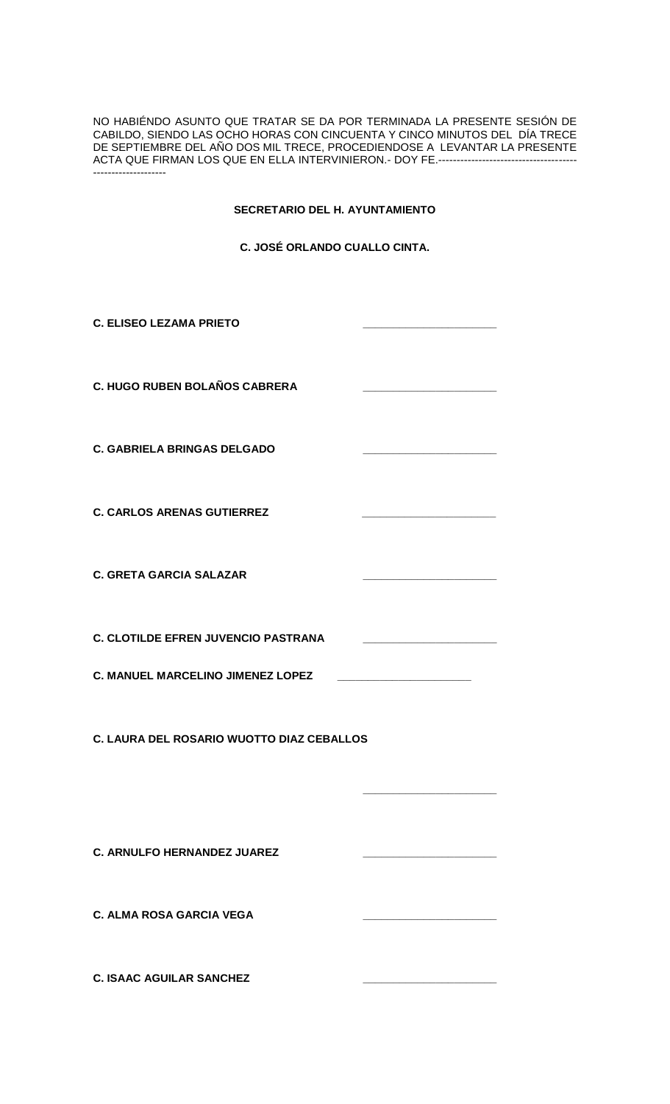NO HABIÉNDO ASUNTO QUE TRATAR SE DA POR TERMINADA LA PRESENTE SESIÓN DE CABILDO, SIENDO LAS OCHO HORAS CON CINCUENTA Y CINCO MINUTOS DEL DÍA TRECE DE SEPTIEMBRE DEL AÑO DOS MIL TRECE, PROCEDIENDOSE A LEVANTAR LA PRESENTE ACTA QUE FIRMAN LOS QUE EN ELLA INTERVINIERON.- DOY FE.-------------------------------------- --------------------

## **SECRETARIO DEL H. AYUNTAMIENTO**

**C. JOSÉ ORLANDO CUALLO CINTA.**

| <b>C. ELISEO LEZAMA PRIETO</b>             |  |  |
|--------------------------------------------|--|--|
| <b>C. HUGO RUBEN BOLAÑOS CABRERA</b>       |  |  |
| <b>C. GABRIELA BRINGAS DELGADO</b>         |  |  |
| <b>C. CARLOS ARENAS GUTIERREZ</b>          |  |  |
| <b>C. GRETA GARCIA SALAZAR</b>             |  |  |
| <b>C. CLOTILDE EFREN JUVENCIO PASTRANA</b> |  |  |
| <b>C. MANUEL MARCELINO JIMENEZ LOPEZ</b>   |  |  |
| C. LAURA DEL ROSARIO WUOTTO DIAZ CEBALLOS  |  |  |
|                                            |  |  |
| <b>C. ARNULFO HERNANDEZ JUAREZ</b>         |  |  |
| <b>C. ALMA ROSA GARCIA VEGA</b>            |  |  |
| <b>C. ISAAC AGUILAR SANCHEZ</b>            |  |  |